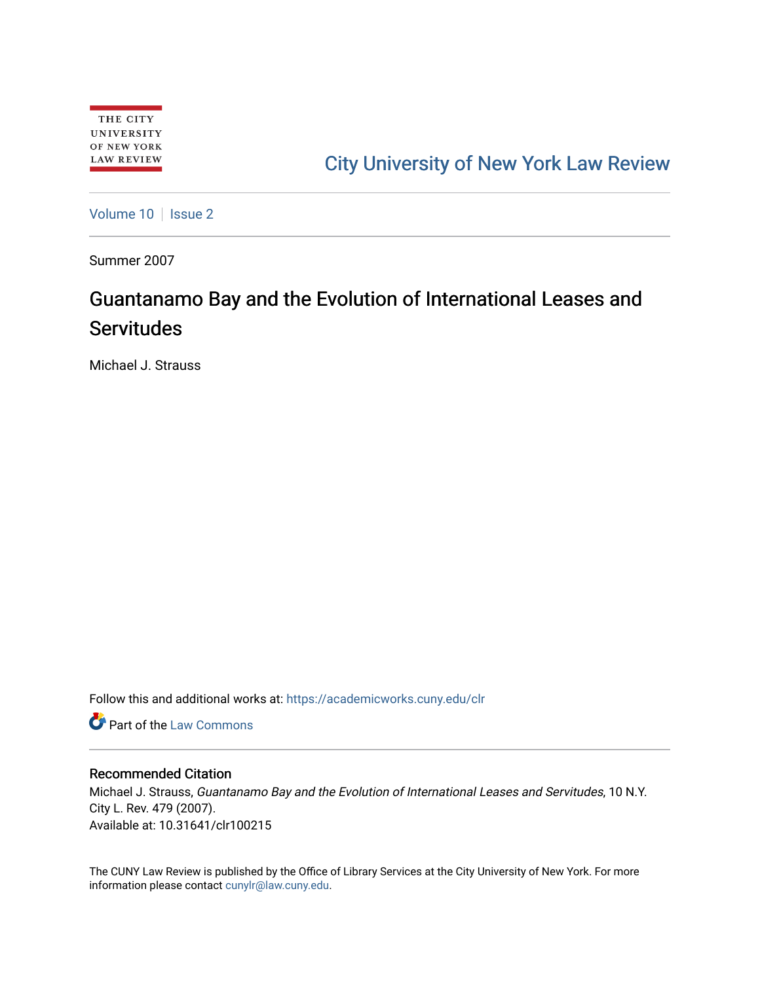# [City University of New York Law Review](https://academicworks.cuny.edu/clr)

[Volume 10](https://academicworks.cuny.edu/clr/vol10) | [Issue 2](https://academicworks.cuny.edu/clr/vol10/iss2)

Summer 2007

# Guantanamo Bay and the Evolution of International Leases and **Servitudes**

Michael J. Strauss

Follow this and additional works at: [https://academicworks.cuny.edu/clr](https://academicworks.cuny.edu/clr?utm_source=academicworks.cuny.edu%2Fclr%2Fvol10%2Fiss2%2F16&utm_medium=PDF&utm_campaign=PDFCoverPages) 

**C** Part of the [Law Commons](http://network.bepress.com/hgg/discipline/578?utm_source=academicworks.cuny.edu%2Fclr%2Fvol10%2Fiss2%2F16&utm_medium=PDF&utm_campaign=PDFCoverPages)

### Recommended Citation

Michael J. Strauss, Guantanamo Bay and the Evolution of International Leases and Servitudes, 10 N.Y. City L. Rev. 479 (2007). Available at: 10.31641/clr100215

The CUNY Law Review is published by the Office of Library Services at the City University of New York. For more information please contact [cunylr@law.cuny.edu](mailto:cunylr@law.cuny.edu).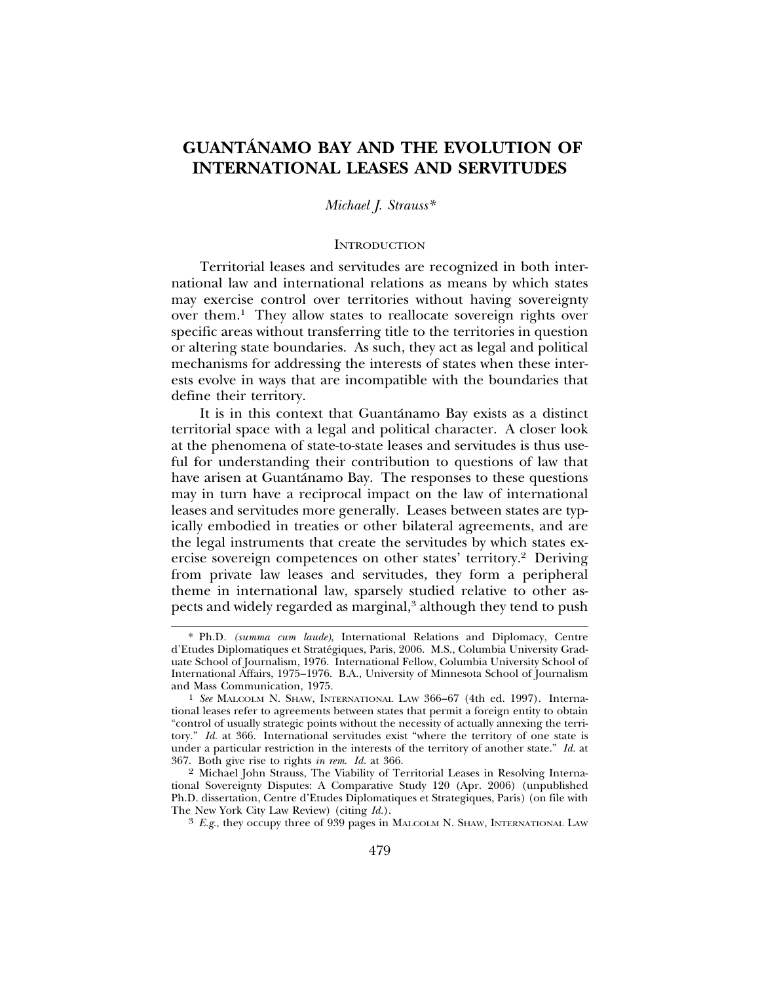## **GUANTANAMO BAY AND THE EVOLUTION OF ´ INTERNATIONAL LEASES AND SERVITUDES**

#### *Michael J. Strauss\**

#### **INTRODUCTION**

Territorial leases and servitudes are recognized in both international law and international relations as means by which states may exercise control over territories without having sovereignty over them.1 They allow states to reallocate sovereign rights over specific areas without transferring title to the territories in question or altering state boundaries. As such, they act as legal and political mechanisms for addressing the interests of states when these interests evolve in ways that are incompatible with the boundaries that define their territory.

It is in this context that Guantánamo Bay exists as a distinct territorial space with a legal and political character. A closer look at the phenomena of state-to-state leases and servitudes is thus useful for understanding their contribution to questions of law that have arisen at Guantánamo Bay. The responses to these questions may in turn have a reciprocal impact on the law of international leases and servitudes more generally. Leases between states are typically embodied in treaties or other bilateral agreements, and are the legal instruments that create the servitudes by which states exercise sovereign competences on other states' territory.2 Deriving from private law leases and servitudes, they form a peripheral theme in international law, sparsely studied relative to other aspects and widely regarded as marginal,<sup>3</sup> although they tend to push

<sup>3</sup> *E.g.*, they occupy three of 939 pages in MALCOLM N. SHAW, INTERNATIONAL LAW

<sup>\*</sup> Ph.D*. (summa cum laude)*, International Relations and Diplomacy, Centre d'Etudes Diplomatiques et Strategiques, Paris, 2006. M.S., Columbia University Grad- ´ uate School of Journalism, 1976. International Fellow, Columbia University School of International Affairs, 1975–1976. B.A., University of Minnesota School of Journalism

<sup>&</sup>lt;sup>1</sup> See MALCOLM N. SHAW, INTERNATIONAL LAW 366-67 (4th ed. 1997). International leases refer to agreements between states that permit a foreign entity to obtain "control of usually strategic points without the necessity of actually annexing the territory." *Id.* at 366. International servitudes exist "where the territory of one state is under a particular restriction in the interests of the territory of another state." *Id.* at 367. Both give rise to rights *in rem*. *Id.* at 366.

<sup>2</sup> Michael John Strauss, The Viability of Territorial Leases in Resolving International Sovereignty Disputes: A Comparative Study 120 (Apr. 2006) (unpublished Ph.D. dissertation, Centre d'Etudes Diplomatiques et Strategiques, Paris) (on file with The New York City Law Review) (citing  $Id$ .).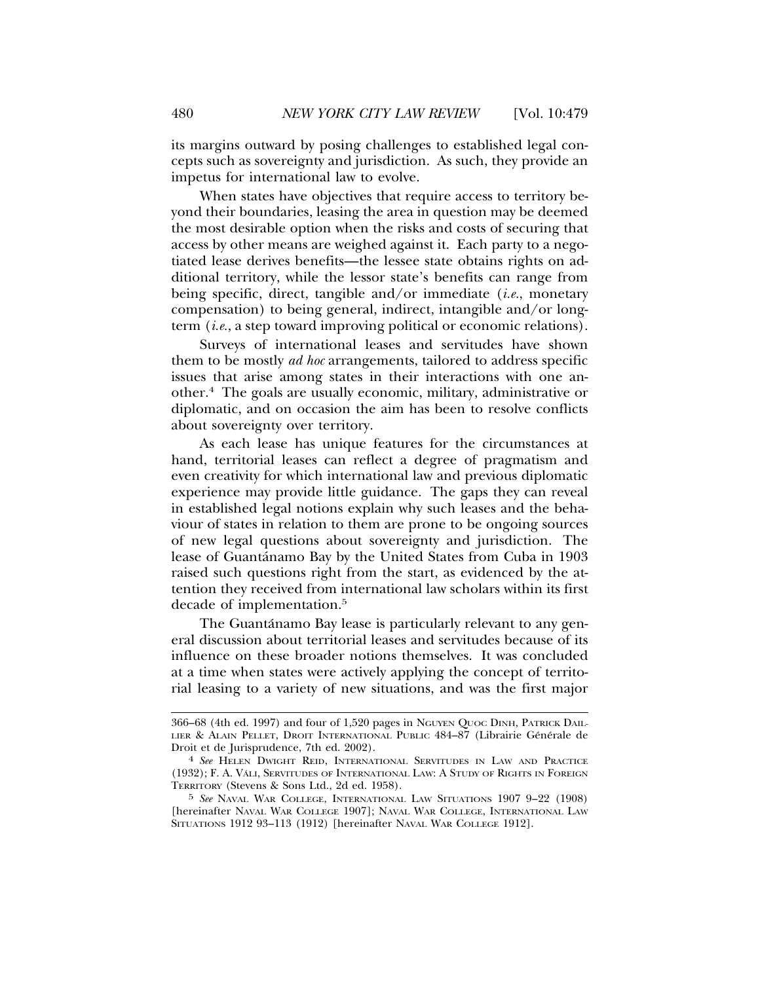its margins outward by posing challenges to established legal concepts such as sovereignty and jurisdiction. As such, they provide an impetus for international law to evolve.

When states have objectives that require access to territory beyond their boundaries, leasing the area in question may be deemed the most desirable option when the risks and costs of securing that access by other means are weighed against it. Each party to a negotiated lease derives benefits—the lessee state obtains rights on additional territory, while the lessor state's benefits can range from being specific, direct, tangible and/or immediate (*i.e.*, monetary compensation) to being general, indirect, intangible and/or longterm (*i.e.*, a step toward improving political or economic relations).

Surveys of international leases and servitudes have shown them to be mostly *ad hoc* arrangements, tailored to address specific issues that arise among states in their interactions with one another.4 The goals are usually economic, military, administrative or diplomatic, and on occasion the aim has been to resolve conflicts about sovereignty over territory.

As each lease has unique features for the circumstances at hand, territorial leases can reflect a degree of pragmatism and even creativity for which international law and previous diplomatic experience may provide little guidance. The gaps they can reveal in established legal notions explain why such leases and the behaviour of states in relation to them are prone to be ongoing sources of new legal questions about sovereignty and jurisdiction. The lease of Guantánamo Bay by the United States from Cuba in 1903 raised such questions right from the start, as evidenced by the attention they received from international law scholars within its first decade of implementation.<sup>5</sup>

The Guantánamo Bay lease is particularly relevant to any general discussion about territorial leases and servitudes because of its influence on these broader notions themselves. It was concluded at a time when states were actively applying the concept of territorial leasing to a variety of new situations, and was the first major

<sup>366–68 (4</sup>th ed. 1997) and four of 1,520 pages in NGUYEN QUOC DINH, PATRICK DAIL-LIER & ALAIN PELLET, DROIT INTERNATIONAL PUBLIC 484-87 (Librairie Générale de Droit et de Jurisprudence, 7th ed. 2002).

<sup>4</sup> *See* HELEN DWIGHT REID, INTERNATIONAL SERVITUDES IN LAW AND PRACTICE (1932); F. A. VÁLI, SERVITUDES OF INTERNATIONAL LAW: A STUDY OF RIGHTS IN FOREIGN TERRITORY (Stevens & Sons Ltd., 2d ed. 1958).

<sup>5</sup> *See* NAVAL WAR COLLEGE, INTERNATIONAL LAW SITUATIONS 1907 9–22 (1908) [hereinafter NAVAL WAR COLLEGE 1907]; NAVAL WAR COLLEGE, INTERNATIONAL LAW SITUATIONS 1912 93-113 (1912) [hereinafter NAVAL WAR COLLEGE 1912].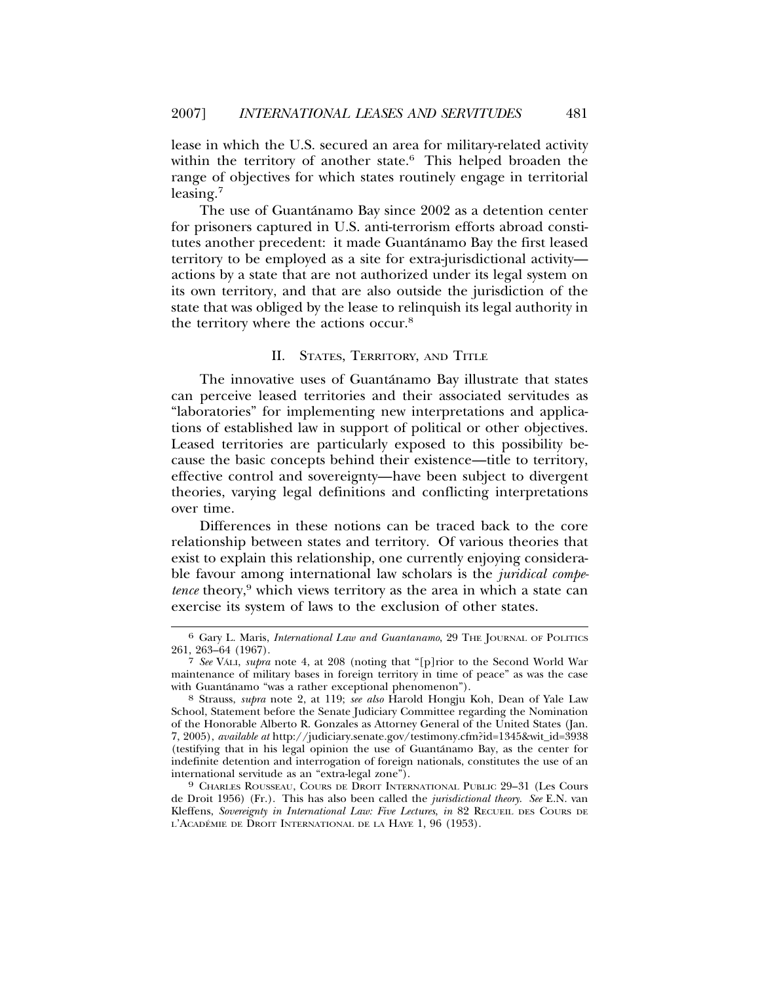lease in which the U.S. secured an area for military-related activity within the territory of another state. $6$  This helped broaden the range of objectives for which states routinely engage in territorial leasing.<sup>7</sup>

The use of Guantánamo Bay since 2002 as a detention center for prisoners captured in U.S. anti-terrorism efforts abroad constitutes another precedent: it made Guantanamo Bay the first leased ´ territory to be employed as a site for extra-jurisdictional activity actions by a state that are not authorized under its legal system on its own territory, and that are also outside the jurisdiction of the state that was obliged by the lease to relinquish its legal authority in the territory where the actions occur.8

#### II. STATES, TERRITORY, AND TITLE

The innovative uses of Guantánamo Bay illustrate that states can perceive leased territories and their associated servitudes as "laboratories" for implementing new interpretations and applications of established law in support of political or other objectives. Leased territories are particularly exposed to this possibility because the basic concepts behind their existence—title to territory, effective control and sovereignty—have been subject to divergent theories, varying legal definitions and conflicting interpretations over time.

Differences in these notions can be traced back to the core relationship between states and territory. Of various theories that exist to explain this relationship, one currently enjoying considerable favour among international law scholars is the *juridical compe*tence theory,<sup>9</sup> which views territory as the area in which a state can exercise its system of laws to the exclusion of other states.

<sup>6</sup> Gary L. Maris, *International Law and Guantanamo*, 29 THE JOURNAL OF POLITICS 261, 263–64 (1967).

<sup>&</sup>lt;sup>7</sup> See VALI, *supra* note 4, at 208 (noting that "[p]rior to the Second World War maintenance of military bases in foreign territory in time of peace" as was the case with Guantánamo "was a rather exceptional phenomenon").

<sup>&</sup>lt;sup>8</sup> Strauss, *supra* note 2, at 119; *see also* Harold Hongju Koh, Dean of Yale Law School, Statement before the Senate Judiciary Committee regarding the Nomination of the Honorable Alberto R. Gonzales as Attorney General of the United States (Jan. 7, 2005), *available at* http://judiciary.senate.gov/testimony.cfm?id=1345&wit\_id=3938 (testifying that in his legal opinion the use of Guantanamo Bay, as the center for ´ indefinite detention and interrogation of foreign nationals, constitutes the use of an international servitude as an "extra-legal zone").

<sup>&</sup>lt;sup>9</sup> CHARLES ROUSSEAU, COURS DE DROIT INTERNATIONAL PUBLIC 29-31 (Les Cours de Droit 1956) (Fr.). This has also been called the *jurisdictional theory*. *See* E.N. van Kleffens, *Sovereignty in International Law: Five Lectures*, *in* 82 RECUEIL DES COURS DE L'ACADÉMIE DE DROIT INTERNATIONAL DE LA HAYE 1, 96 (1953).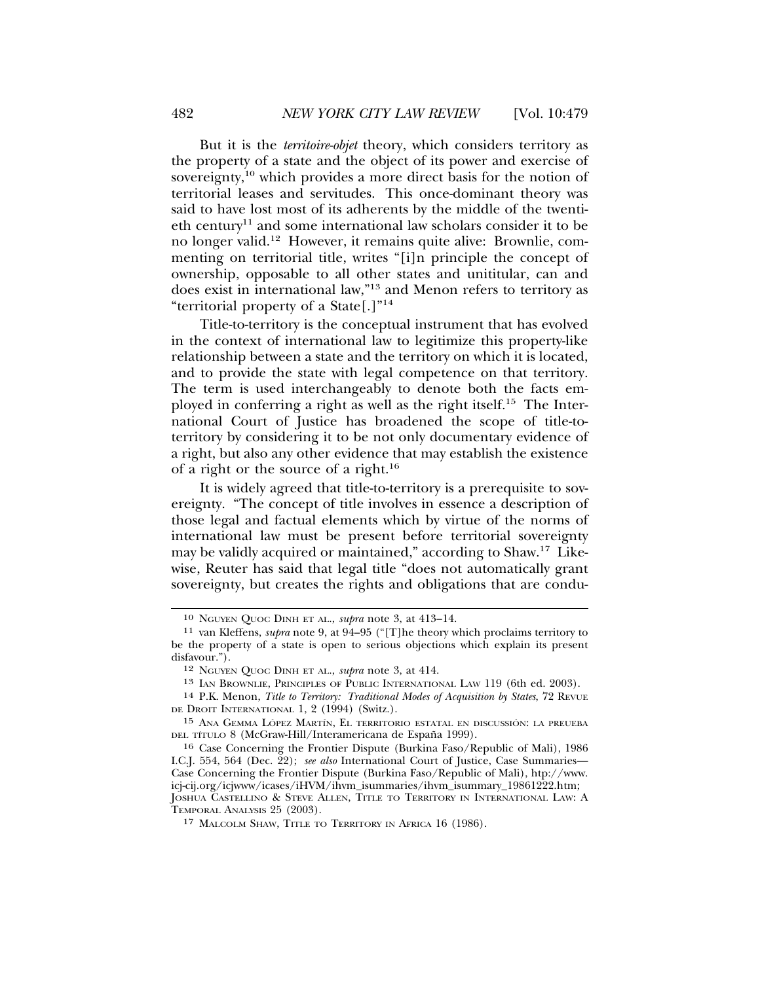But it is the *territoire-objet* theory, which considers territory as the property of a state and the object of its power and exercise of sovereignty,10 which provides a more direct basis for the notion of territorial leases and servitudes. This once-dominant theory was said to have lost most of its adherents by the middle of the twentieth century11 and some international law scholars consider it to be no longer valid.12 However, it remains quite alive: Brownlie, commenting on territorial title, writes "[i]n principle the concept of ownership, opposable to all other states and unititular, can and does exist in international law,"13 and Menon refers to territory as "territorial property of a State[.]"14

Title-to-territory is the conceptual instrument that has evolved in the context of international law to legitimize this property-like relationship between a state and the territory on which it is located, and to provide the state with legal competence on that territory. The term is used interchangeably to denote both the facts employed in conferring a right as well as the right itself.15 The International Court of Justice has broadened the scope of title-toterritory by considering it to be not only documentary evidence of a right, but also any other evidence that may establish the existence of a right or the source of a right.16

It is widely agreed that title-to-territory is a prerequisite to sovereignty. "The concept of title involves in essence a description of those legal and factual elements which by virtue of the norms of international law must be present before territorial sovereignty may be validly acquired or maintained," according to Shaw.17 Likewise, Reuter has said that legal title "does not automatically grant sovereignty, but creates the rights and obligations that are condu-

<sup>10</sup> NGUYEN QUOC DINH ET AL., *supra* note 3, at 413–14.

<sup>11</sup> van Kleffens, *supra* note 9, at 94–95 ("[T]he theory which proclaims territory to be the property of a state is open to serious objections which explain its present disfavour.").

<sup>12</sup> NGUYEN QUOC DINH ET AL., *supra* note 3, at 414.

<sup>13</sup> IAN BROWNLIE, PRINCIPLES OF PUBLIC INTERNATIONAL LAW 119 (6th ed. 2003).

<sup>14</sup> P.K. Menon, *Title to Territory: Traditional Modes of Acquisition by States*, 72 REVUE DE DROIT INTERNATIONAL 1, 2 (1994) (Switz.).

<sup>15</sup> ANA GEMMA LÓPEZ MARTÍN, EL TERRITORIO ESTATAL EN DISCUSSIÓN: LA PREUEBA DEL TÍTULO 8 (McGraw-Hill/Interamericana de España 1999).

<sup>16</sup> Case Concerning the Frontier Dispute (Burkina Faso/Republic of Mali), 1986 I.C.J. 554, 564 (Dec. 22); *see also* International Court of Justice, Case Summaries— Case Concerning the Frontier Dispute (Burkina Faso/Republic of Mali), htp://www. icj-cij.org/icjwww/icases/iHVM/ihvm\_isummaries/ihvm\_isummary\_19861222.htm; JOSHUA CASTELLINO & STEVE ALLEN, TITLE TO TERRITORY IN INTERNATIONAL LAW: A TEMPORAL ANALYSIS 25 (2003).

<sup>17</sup> MALCOLM SHAW, TITLE TO TERRITORY IN AFRICA 16 (1986).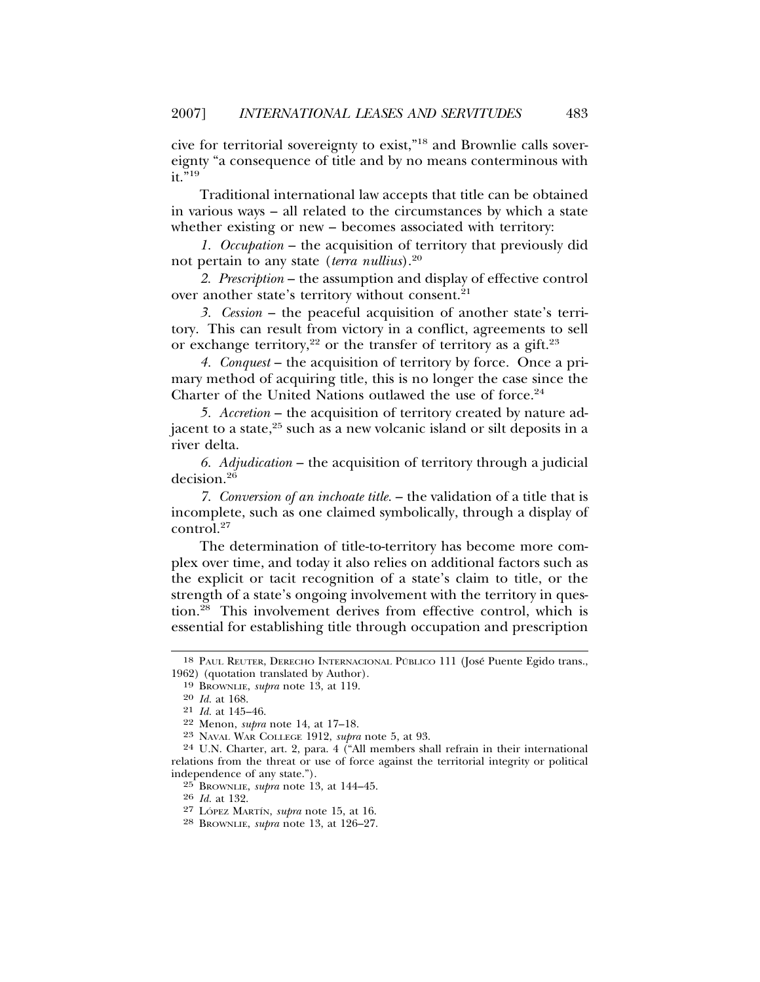cive for territorial sovereignty to exist,"18 and Brownlie calls sovereignty "a consequence of title and by no means conterminous with  $it.^{919}$ 

Traditional international law accepts that title can be obtained in various ways – all related to the circumstances by which a state whether existing or new – becomes associated with territory:

*1. Occupation* – the acquisition of territory that previously did not pertain to any state (*terra nullius*).20

*2. Prescription* – the assumption and display of effective control over another state's territory without consent.<sup>21</sup>

*3. Cession* – the peaceful acquisition of another state's territory. This can result from victory in a conflict, agreements to sell or exchange territory,<sup>22</sup> or the transfer of territory as a gift.<sup>23</sup>

*4. Conquest* – the acquisition of territory by force. Once a primary method of acquiring title, this is no longer the case since the Charter of the United Nations outlawed the use of force.<sup>24</sup>

*5. Accretion* – the acquisition of territory created by nature adjacent to a state,<sup>25</sup> such as a new volcanic island or silt deposits in a river delta.

*6. Adjudication* – the acquisition of territory through a judicial decision.<sup>26</sup>

*7. Conversion of an inchoate title.* – the validation of a title that is incomplete, such as one claimed symbolically, through a display of control.27

The determination of title-to-territory has become more complex over time, and today it also relies on additional factors such as the explicit or tacit recognition of a state's claim to title, or the strength of a state's ongoing involvement with the territory in question.28 This involvement derives from effective control, which is essential for establishing title through occupation and prescription

<sup>&</sup>lt;sup>18</sup> PAUL REUTER, DERECHO INTERNACIONAL PÚBLICO 111 (José Puente Egido trans., 1962) (quotation translated by Author).

<sup>19</sup> BROWNLIE, *supra* note 13, at 119.

<sup>20</sup> *Id.* at 168.

<sup>21</sup> *Id.* at 145–46.

<sup>22</sup> Menon, *supra* note 14, at 17–18.

<sup>23</sup> NAVAL WAR COLLEGE 1912, *supra* note 5, at 93.

 $24$  U.N. Charter, art. 2, para. 4 ("All members shall refrain in their international relations from the threat or use of force against the territorial integrity or political independence of any state.").

<sup>25</sup> BROWNLIE, *supra* note 13, at 144–45.

<sup>26</sup> *Id.* at 132.

<sup>&</sup>lt;sup>27</sup> LÓPEZ MARTÍN, *supra* note 15, at 16.

<sup>28</sup> BROWNLIE, *supra* note 13, at 126–27.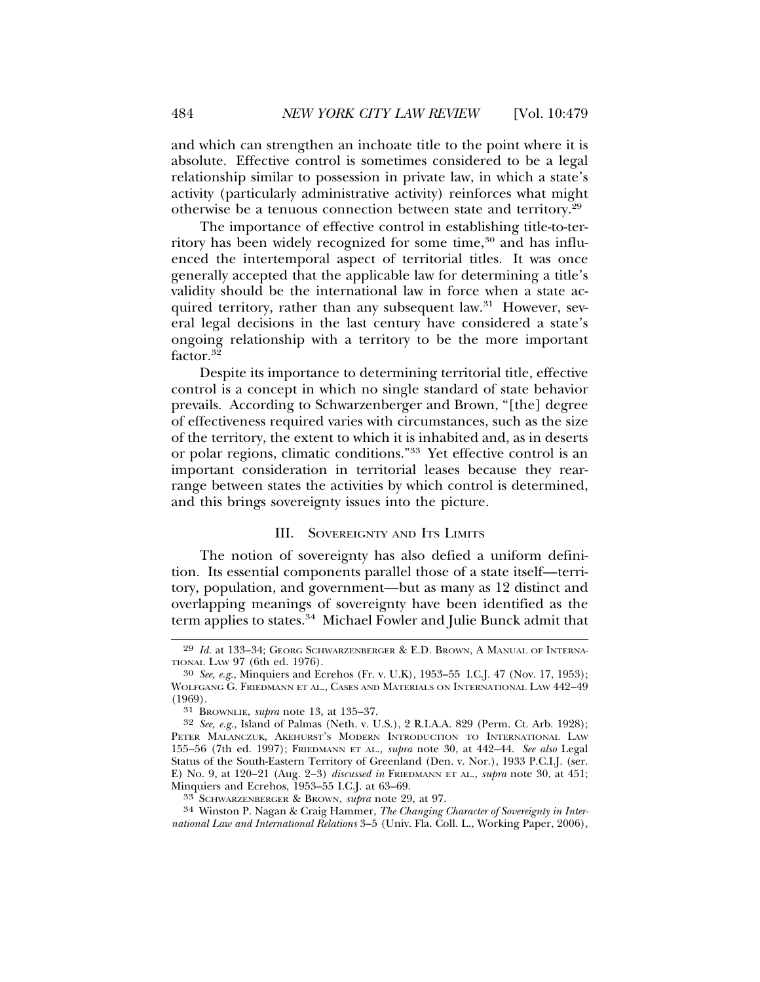and which can strengthen an inchoate title to the point where it is absolute. Effective control is sometimes considered to be a legal relationship similar to possession in private law, in which a state's activity (particularly administrative activity) reinforces what might otherwise be a tenuous connection between state and territory.29

The importance of effective control in establishing title-to-territory has been widely recognized for some time,<sup>30</sup> and has influenced the intertemporal aspect of territorial titles. It was once generally accepted that the applicable law for determining a title's validity should be the international law in force when a state acquired territory, rather than any subsequent law.<sup>31</sup> However, several legal decisions in the last century have considered a state's ongoing relationship with a territory to be the more important factor.<sup>32</sup>

Despite its importance to determining territorial title, effective control is a concept in which no single standard of state behavior prevails. According to Schwarzenberger and Brown, "[the] degree of effectiveness required varies with circumstances, such as the size of the territory, the extent to which it is inhabited and, as in deserts or polar regions, climatic conditions."33 Yet effective control is an important consideration in territorial leases because they rearrange between states the activities by which control is determined, and this brings sovereignty issues into the picture.

### III. SOVEREIGNTY AND ITS LIMITS

The notion of sovereignty has also defied a uniform definition. Its essential components parallel those of a state itself—territory, population, and government—but as many as 12 distinct and overlapping meanings of sovereignty have been identified as the term applies to states.<sup>34</sup> Michael Fowler and Julie Bunck admit that

<sup>&</sup>lt;sup>29</sup> *Id.* at 133–34; GEORG SCHWARZENBERGER & E.D. BROWN, A MANUAL OF INTERNATIONAL LAW 97 (6th ed. 1976).

<sup>&</sup>lt;sup>30</sup> *See, e.g.*, Minquiers and Ecrehos (Fr. v. U.K), 1953–55 I.C.J. 47 (Nov. 17, 1953); WOLFGANG G. FRIEDMANN ET AL., CASES AND MATERIALS ON INTERNATIONAL LAW 442–49 (1969).

<sup>31</sup> BROWNLIE, *supra* note 13, at 135–37.

<sup>32</sup> *See, e.g.*, Island of Palmas (Neth. v. U.S.), 2 R.I.A.A. 829 (Perm. Ct. Arb. 1928); PETER MALANCZUK, AKEHURST'S MODERN INTRODUCTION TO INTERNATIONAL LAW 155–56 (7th ed. 1997); FRIEDMANN ET AL., *supra* note 30, at 442–44. *See also* Legal Status of the South-Eastern Territory of Greenland (Den. v. Nor.), 1933 P.C.I.J. (ser. E) No. 9, at 120–21 (Aug. 2–3) *discussed in* FRIEDMANN ET AL., *supra* note 30, at 451;

<sup>&</sup>lt;sup>33</sup> SCHWARZENBERGER & BROWN, *supra* note 29, at 97.<br><sup>34</sup> Winston P. Nagan & Craig Hammer, *The Changing Character of Sovereignty in International Law and International Relations* 3–5 (Univ. Fla. Coll. L., Working Paper, 2006),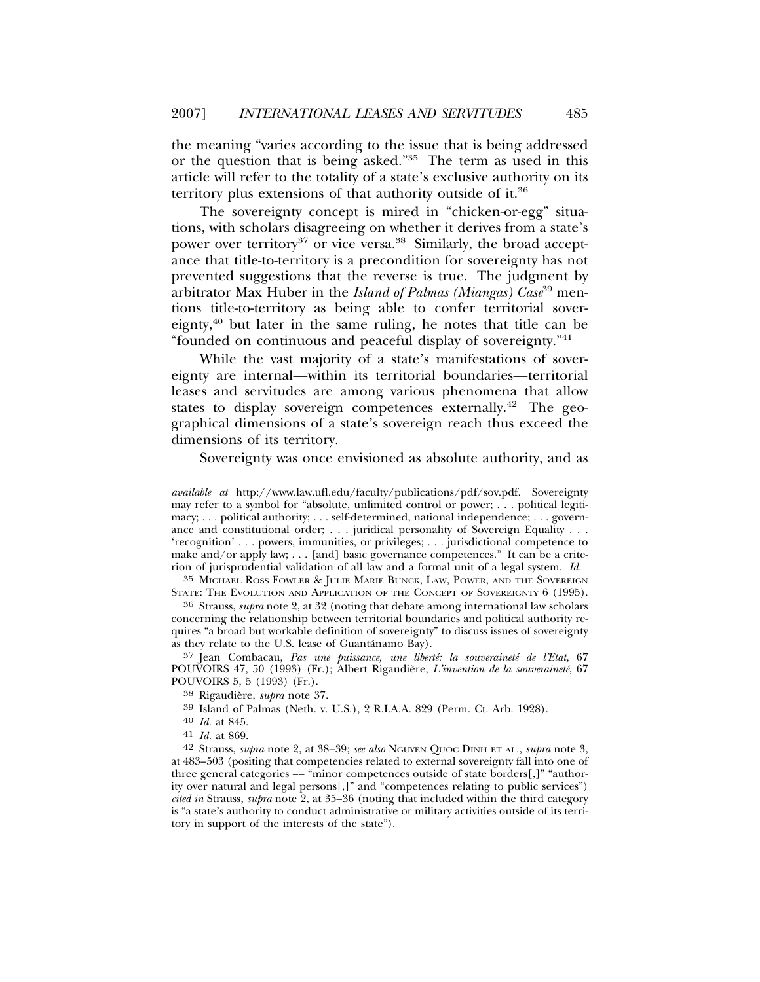the meaning "varies according to the issue that is being addressed or the question that is being asked."35 The term as used in this article will refer to the totality of a state's exclusive authority on its territory plus extensions of that authority outside of it.36

The sovereignty concept is mired in "chicken-or-egg" situations, with scholars disagreeing on whether it derives from a state's power over territory<sup>37</sup> or vice versa.<sup>38</sup> Similarly, the broad acceptance that title-to-territory is a precondition for sovereignty has not prevented suggestions that the reverse is true. The judgment by arbitrator Max Huber in the *Island of Palmas (Miangas) Case*39 mentions title-to-territory as being able to confer territorial sovereignty, $40$  but later in the same ruling, he notes that title can be "founded on continuous and peaceful display of sovereignty."<sup>41</sup>

While the vast majority of a state's manifestations of sovereignty are internal—within its territorial boundaries—territorial leases and servitudes are among various phenomena that allow states to display sovereign competences externally.<sup>42</sup> The geographical dimensions of a state's sovereign reach thus exceed the dimensions of its territory.

Sovereignty was once envisioned as absolute authority, and as

41 *Id.* at 869.

*available at* http://www.law.ufl.edu/faculty/publications/pdf/sov.pdf. Sovereignty may refer to a symbol for "absolute, unlimited control or power; . . . political legitimacy; . . . political authority; . . . self-determined, national independence; . . . governance and constitutional order; . . . juridical personality of Sovereign Equality . . . 'recognition' . . . powers, immunities, or privileges; . . . jurisdictional competence to make and/or apply law; . . . [and] basic governance competences." It can be a criterion of jurisprudential validation of all law and a formal unit of a legal system. *Id.*

<sup>35</sup> MICHAEL ROSS FOWLER & JULIE MARIE BUNCK, LAW, POWER, AND THE SOVEREIGN STATE: THE EVOLUTION AND APPLICATION OF THE CONCEPT OF SOVEREIGNTY 6 (1995).

<sup>36</sup> Strauss, *supra* note 2, at 32 (noting that debate among international law scholars concerning the relationship between territorial boundaries and political authority requires "a broad but workable definition of sovereignty" to discuss issues of sovereignty as they relate to the U.S. lease of Guantánamo Bay).

<sup>&</sup>lt;sup>37</sup> Jean Combacau, Pas une puissance, une liberté: la souveraineté de l'Etat, 67 POUVOIRS 47, 50 (1993) (Fr.); Albert Rigaudière, *L'invention de la souveraineté*, 67 POUVOIRS 5, 5 (1993) (Fr.).

<sup>38</sup> Rigaudiere, ` *supra* note 37.

<sup>39</sup> Island of Palmas (Neth. v. U.S.), 2 R.I.A.A. 829 (Perm. Ct. Arb. 1928).

<sup>40</sup> *Id.* at 845.

<sup>42</sup> Strauss, *supra* note 2, at 38–39; *see also* NGUYEN QUOC DINH ET AL., *supra* note 3, at 483–503 (positing that competencies related to external sovereignty fall into one of three general categories –– "minor competences outside of state borders[,]" "authority over natural and legal persons[,]" and "competences relating to public services") *cited in* Strauss, *supra* note 2, at 35–36 (noting that included within the third category is "a state's authority to conduct administrative or military activities outside of its territory in support of the interests of the state").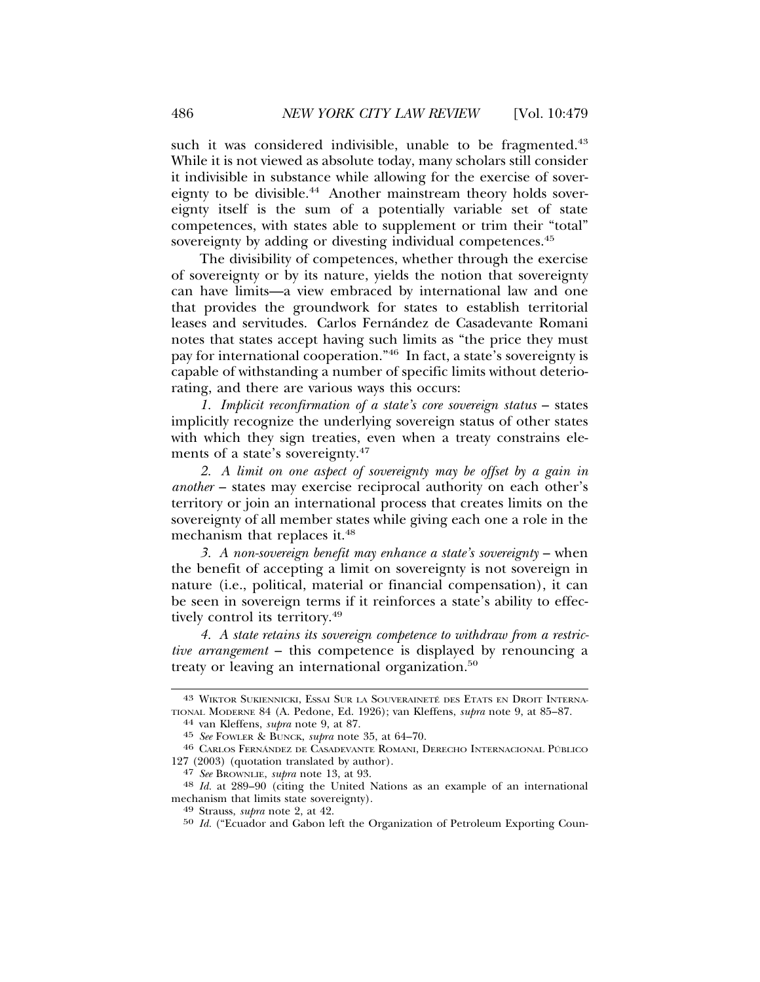such it was considered indivisible, unable to be fragmented.<sup>43</sup> While it is not viewed as absolute today, many scholars still consider it indivisible in substance while allowing for the exercise of sovereignty to be divisible.<sup>44</sup> Another mainstream theory holds sovereignty itself is the sum of a potentially variable set of state competences, with states able to supplement or trim their "total" sovereignty by adding or divesting individual competences.<sup>45</sup>

The divisibility of competences, whether through the exercise of sovereignty or by its nature, yields the notion that sovereignty can have limits—a view embraced by international law and one that provides the groundwork for states to establish territorial leases and servitudes. Carlos Fernandez de Casadevante Romani ´ notes that states accept having such limits as "the price they must pay for international cooperation."46 In fact, a state's sovereignty is capable of withstanding a number of specific limits without deteriorating, and there are various ways this occurs:

1. Implicit reconfirmation of a state's core sovereign status – states implicitly recognize the underlying sovereign status of other states with which they sign treaties, even when a treaty constrains elements of a state's sovereignty.<sup>47</sup>

*2. A limit on one aspect of sovereignty may be offset by a gain in another* – states may exercise reciprocal authority on each other's territory or join an international process that creates limits on the sovereignty of all member states while giving each one a role in the mechanism that replaces it.<sup>48</sup>

*3. A non-sovereign benefit may enhance a state's sovereignty* – when the benefit of accepting a limit on sovereignty is not sovereign in nature (i.e., political, material or financial compensation), it can be seen in sovereign terms if it reinforces a state's ability to effectively control its territory.49

*4. A state retains its sovereign competence to withdraw from a restrictive arrangement* – this competence is displayed by renouncing a treaty or leaving an international organization.<sup>50</sup>

<sup>43</sup> WIKTOR SUKIENNICKI, ESSAI SUR LA SOUVERAINETÉ DES ETATS EN DROIT INTERNA-TIONAL MODERNE 84 (A. Pedone, Ed. 1926); van Kleffens, *supra* note 9, at 85–87. <sup>44</sup> van Kleffens, *supra* note 9, at 87.

<sup>&</sup>lt;sup>46</sup> CARLOS FERNÁNDEZ DE CASADEVANTE ROMANI, DERECHO INTERNACIONAL PÚBLICO 127 (2003) (quotation translated by author).<br><sup>47</sup> See BROWNLIE, *supra* note 13, at 93.

<sup>&</sup>lt;sup>48</sup> *Id.* at 289–90 (citing the United Nations as an example of an international mechanism that limits state sovereignty). <sup>49</sup> Strauss, *supra* note 2, at 42.

<sup>50</sup> *Id.* ("Ecuador and Gabon left the Organization of Petroleum Exporting Coun-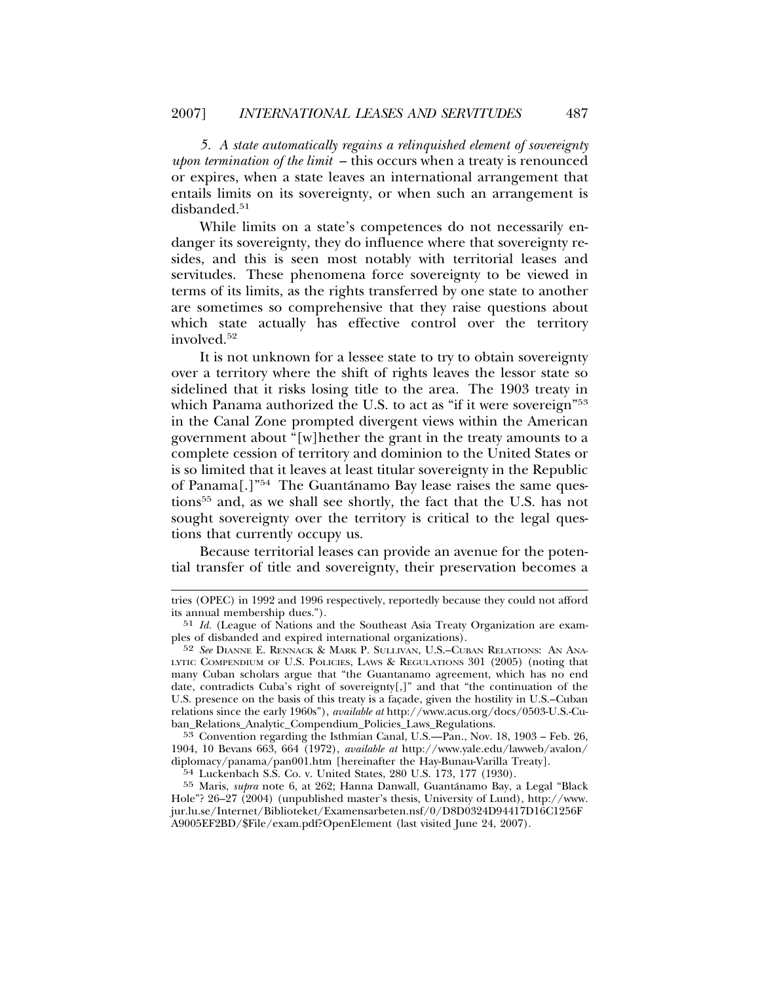*5. A state automatically regains a relinquished element of sovereignty upon termination of the limit* – this occurs when a treaty is renounced or expires, when a state leaves an international arrangement that entails limits on its sovereignty, or when such an arrangement is  $disbanded.<sup>51</sup>$ 

While limits on a state's competences do not necessarily endanger its sovereignty, they do influence where that sovereignty resides, and this is seen most notably with territorial leases and servitudes. These phenomena force sovereignty to be viewed in terms of its limits, as the rights transferred by one state to another are sometimes so comprehensive that they raise questions about which state actually has effective control over the territory involved.52

It is not unknown for a lessee state to try to obtain sovereignty over a territory where the shift of rights leaves the lessor state so sidelined that it risks losing title to the area. The 1903 treaty in which Panama authorized the U.S. to act as "if it were sovereign"<sup>53</sup> in the Canal Zone prompted divergent views within the American government about "[w]hether the grant in the treaty amounts to a complete cession of territory and dominion to the United States or is so limited that it leaves at least titular sovereignty in the Republic of Panama[.]"<sup>54</sup> The Guantánamo Bay lease raises the same questions<sup>55</sup> and, as we shall see shortly, the fact that the U.S. has not sought sovereignty over the territory is critical to the legal questions that currently occupy us.

Because territorial leases can provide an avenue for the potential transfer of title and sovereignty, their preservation becomes a

53 Convention regarding the Isthmian Canal, U.S.—Pan., Nov. 18, 1903 – Feb. 26, 1904, 10 Bevans 663, 664 (1972), *available at* http://www.yale.edu/lawweb/avalon/ diplomacy/panama/pan001.htm [hereinafter the Hay-Bunau-Varilla Treaty].

54 Luckenbach S.S. Co. v. United States, 280 U.S. 173, 177 (1930).

55 Maris, *supra* note 6, at 262; Hanna Danwall, Guantanamo Bay, a Legal "Black ´ Hole"? 26–27 (2004) (unpublished master's thesis, University of Lund), http://www. jur.lu.se/Internet/Biblioteket/Examensarbeten.nsf/0/D8D0324D94417D16C1256F A9005EF2BD/\$File/exam.pdf?OpenElement (last visited June 24, 2007).

tries (OPEC) in 1992 and 1996 respectively, reportedly because they could not afford its annual membership dues.").

<sup>51</sup> *Id.* (League of Nations and the Southeast Asia Treaty Organization are examples of disbanded and expired international organizations).

<sup>52</sup> *See* DIANNE E. RENNACK & MARK P. SULLIVAN, U.S.–CUBAN RELATIONS: AN ANA-LYTIC COMPENDIUM OF U.S. POLICIES, LAWS & REGULATIONS 301 (2005) (noting that many Cuban scholars argue that "the Guantanamo agreement, which has no end date, contradicts Cuba's right of sovereignty[,]" and that "the continuation of the U.S. presence on the basis of this treaty is a façade, given the hostility in U.S.–Cuban relations since the early 1960s"), *available at* http://www.acus.org/docs/0503-U.S.-Cuban\_Relations\_Analytic\_Compendium\_Policies\_Laws\_Regulations.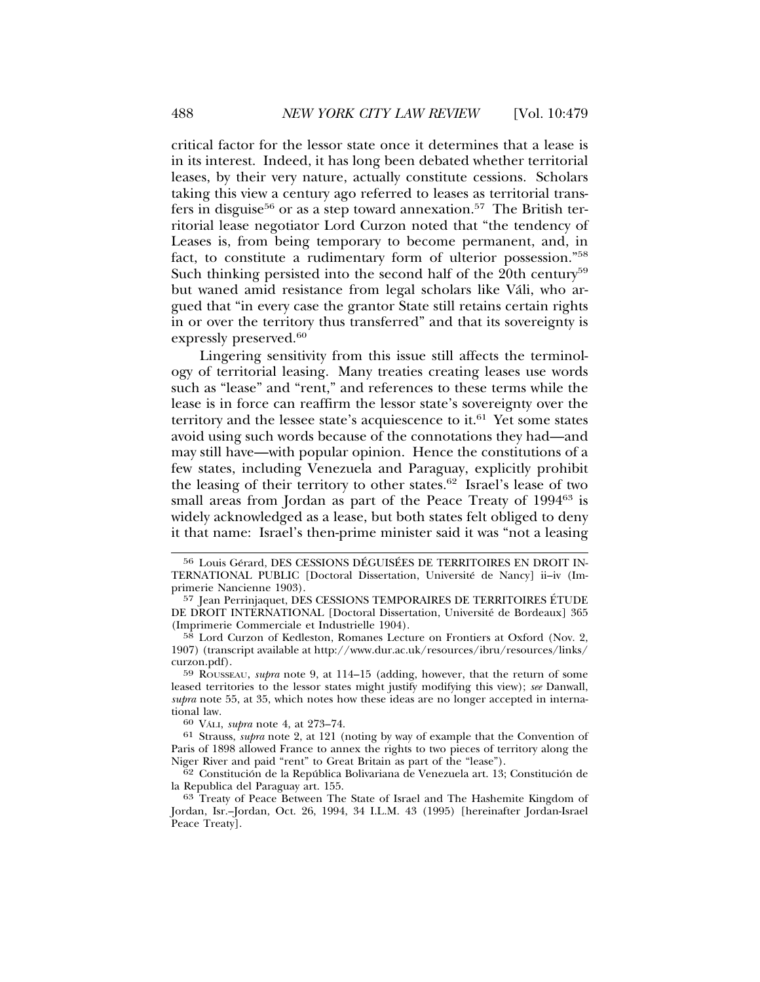critical factor for the lessor state once it determines that a lease is in its interest. Indeed, it has long been debated whether territorial leases, by their very nature, actually constitute cessions. Scholars taking this view a century ago referred to leases as territorial transfers in disguise<sup>56</sup> or as a step toward annexation.<sup>57</sup> The British territorial lease negotiator Lord Curzon noted that "the tendency of Leases is, from being temporary to become permanent, and, in fact, to constitute a rudimentary form of ulterior possession."58 Such thinking persisted into the second half of the  $20$ th century<sup>59</sup> but waned amid resistance from legal scholars like Vali, who ar- ´ gued that "in every case the grantor State still retains certain rights in or over the territory thus transferred" and that its sovereignty is expressly preserved.<sup>60</sup>

Lingering sensitivity from this issue still affects the terminology of territorial leasing. Many treaties creating leases use words such as "lease" and "rent," and references to these terms while the lease is in force can reaffirm the lessor state's sovereignty over the territory and the lessee state's acquiescence to it. $61$  Yet some states avoid using such words because of the connotations they had—and may still have—with popular opinion. Hence the constitutions of a few states, including Venezuela and Paraguay, explicitly prohibit the leasing of their territory to other states.<sup>62</sup> Israel's lease of two small areas from Jordan as part of the Peace Treaty of 1994<sup>63</sup> is widely acknowledged as a lease, but both states felt obliged to deny it that name: Israel's then-prime minister said it was "not a leasing

<sup>56</sup> Louis Gérard, DES CESSIONS DÉGUISÉES DE TERRITOIRES EN DROIT IN-TERNATIONAL PUBLIC [Doctoral Dissertation, Universite de Nancy] ii–iv (Im- ´ primerie Nancienne 1903).

<sup>57</sup> Jean Perrinjaquet, DES CESSIONS TEMPORAIRES DE TERRITOIRES ÉTUDE DE DROIT INTERNATIONAL [Doctoral Dissertation, Université de Bordeaux] 365 (Imprimerie Commerciale et Industrielle 1904).

<sup>58</sup> Lord Curzon of Kedleston, Romanes Lecture on Frontiers at Oxford (Nov. 2, 1907) (transcript available at http://www.dur.ac.uk/resources/ibru/resources/links/ curzon.pdf).

<sup>59</sup> ROUSSEAU, *supra* note 9, at 114–15 (adding, however, that the return of some leased territories to the lessor states might justify modifying this view); *see* Danwall, *supra* note 55, at 35, which notes how these ideas are no longer accepted in interna-

<sup>60</sup> VÁLI, *supra* note 4, at 273–74.

<sup>61</sup> Strauss, *supra* note 2, at 121 (noting by way of example that the Convention of Paris of 1898 allowed France to annex the rights to two pieces of territory along the Niger River and paid "rent" to Great Britain as part of the "lease").

 $^{62}$  Constitución de la República Bolivariana de Venezuela art. 13; Constitución de la República del Paraguay art. 155.

<sup>63</sup> Treaty of Peace Between The State of Israel and The Hashemite Kingdom of Jordan, Isr.–Jordan, Oct. 26, 1994, 34 I.L.M. 43 (1995) [hereinafter Jordan-Israel Peace Treaty].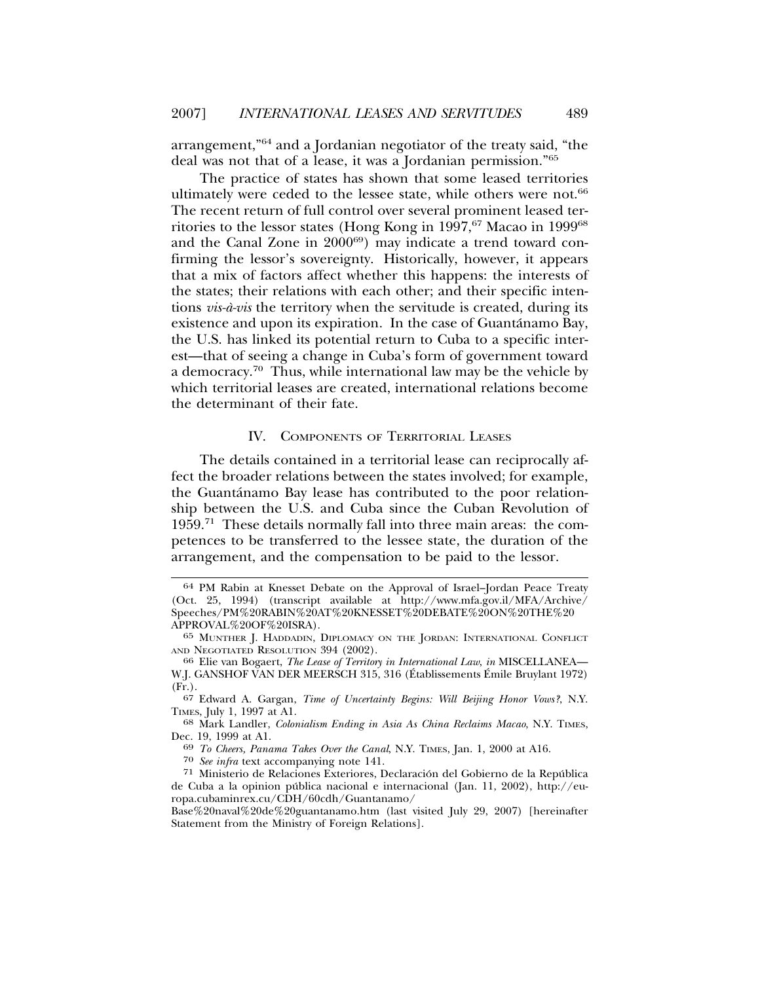arrangement,"64 and a Jordanian negotiator of the treaty said, "the deal was not that of a lease, it was a Jordanian permission."65

The practice of states has shown that some leased territories ultimately were ceded to the lessee state, while others were not.<sup>66</sup> The recent return of full control over several prominent leased territories to the lessor states (Hong Kong in  $1997,67$  Macao in 199968) and the Canal Zone in 2000<sup>69</sup>) may indicate a trend toward confirming the lessor's sovereignty. Historically, however, it appears that a mix of factors affect whether this happens: the interests of the states; their relations with each other; and their specific intentions *vis-a-vis `* the territory when the servitude is created, during its existence and upon its expiration. In the case of Guantánamo Bay, the U.S. has linked its potential return to Cuba to a specific interest—that of seeing a change in Cuba's form of government toward a democracy.70 Thus, while international law may be the vehicle by which territorial leases are created, international relations become the determinant of their fate.

#### IV. COMPONENTS OF TERRITORIAL LEASES

The details contained in a territorial lease can reciprocally affect the broader relations between the states involved; for example, the Guantánamo Bay lease has contributed to the poor relationship between the U.S. and Cuba since the Cuban Revolution of 1959.<sup>71</sup> These details normally fall into three main areas: the competences to be transferred to the lessee state, the duration of the arrangement, and the compensation to be paid to the lessor.

<sup>64</sup> PM Rabin at Knesset Debate on the Approval of Israel–Jordan Peace Treaty (Oct. 25, 1994) (transcript available at http://www.mfa.gov.il/MFA/Archive/ Speeches/PM%20RABIN%20AT%20KNESSET%20DEBATE%20ON%20THE%20 APPROVAL%20OF%20ISRA).

<sup>65</sup> MUNTHER J. HADDADIN, DIPLOMACY ON THE JORDAN: INTERNATIONAL CONFLICT AND NEGOTIATED RESOLUTION 394 (2002). <sup>66</sup> Elie van Bogaert, *The Lease of Territory in International Law*, *in* MISCELLANEA—

W.J. GANSHOF VAN DER MEERSCH 315, 316 (Établissements Émile Bruylant 1972) (Fr.).

<sup>67</sup> Edward A. Gargan, *Time of Uncertainty Begins: Will Beijing Honor Vows?*, N.Y.

<sup>&</sup>lt;sup>68</sup> Mark Landler, *Colonialism Ending in Asia As China Reclaims Macao*, N.Y. TIMES, Dec. 19, 1999 at A1.

<sup>&</sup>lt;sup>69</sup> *To Cheers, Panama Takes Over the Canal, N.Y. TIMES, Jan. 1, 2000 at A16.* 

<sup>70</sup> *See infra* text accompanying note 141.

<sup>71</sup> Ministerio de Relaciones Exteriores, Declaración del Gobierno de la República de Cuba a la opinion pública nacional e internacional (Jan. 11, 2002), http://europa.cubaminrex.cu/CDH/60cdh/Guantanamo/

Base%20naval%20de%20guantanamo.htm (last visited July 29, 2007) [hereinafter Statement from the Ministry of Foreign Relations].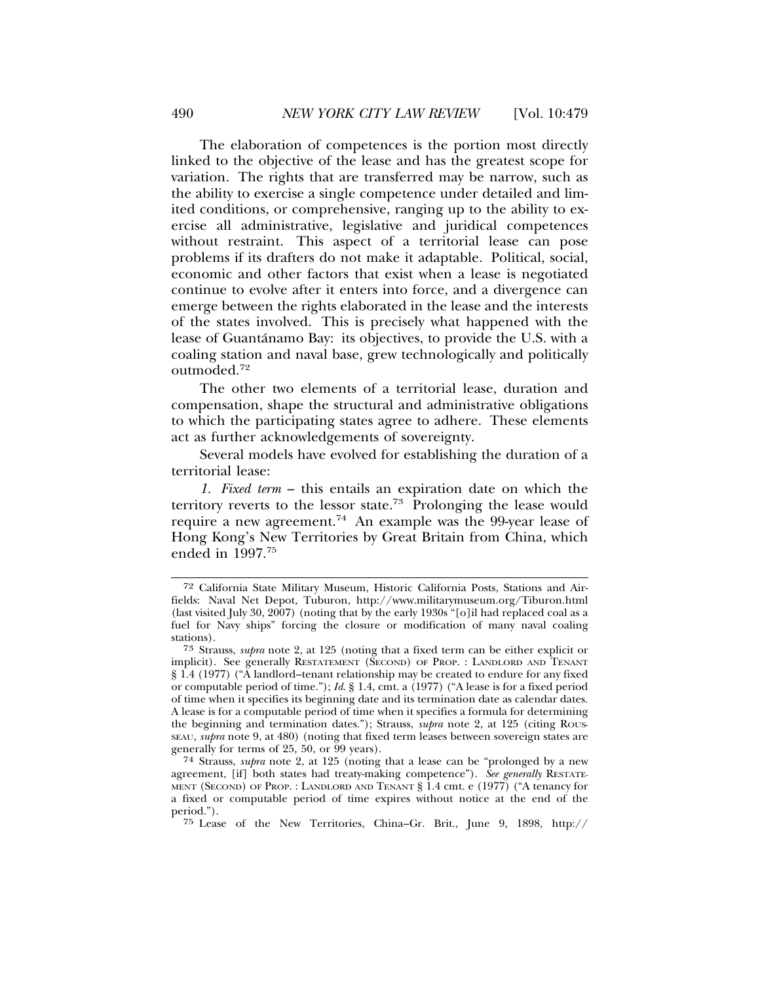The elaboration of competences is the portion most directly linked to the objective of the lease and has the greatest scope for variation. The rights that are transferred may be narrow, such as the ability to exercise a single competence under detailed and limited conditions, or comprehensive, ranging up to the ability to exercise all administrative, legislative and juridical competences without restraint. This aspect of a territorial lease can pose problems if its drafters do not make it adaptable. Political, social, economic and other factors that exist when a lease is negotiated continue to evolve after it enters into force, and a divergence can emerge between the rights elaborated in the lease and the interests of the states involved. This is precisely what happened with the lease of Guantánamo Bay: its objectives, to provide the U.S. with a coaling station and naval base, grew technologically and politically outmoded.72

The other two elements of a territorial lease, duration and compensation, shape the structural and administrative obligations to which the participating states agree to adhere. These elements act as further acknowledgements of sovereignty.

Several models have evolved for establishing the duration of a territorial lease:

*1. Fixed term* – this entails an expiration date on which the territory reverts to the lessor state.<sup>73</sup> Prolonging the lease would require a new agreement.74 An example was the 99-year lease of Hong Kong's New Territories by Great Britain from China, which ended in 1997.<sup>75</sup>

<sup>72</sup> California State Military Museum, Historic California Posts, Stations and Airfields: Naval Net Depot, Tuburon, http://www.militarymuseum.org/Tiburon.html (last visited July 30, 2007) (noting that by the early 1930s "[o]il had replaced coal as a fuel for Navy ships" forcing the closure or modification of many naval coaling stations).

<sup>73</sup> Strauss, *supra* note 2, at 125 (noting that a fixed term can be either explicit or implicit). See generally RESTATEMENT (SECOND) OF PROP. : LANDLORD AND TENANT § 1.4 (1977) ("A landlord–tenant relationship may be created to endure for any fixed or computable period of time."); *Id*. § 1.4, cmt. a (1977) ("A lease is for a fixed period of time when it specifies its beginning date and its termination date as calendar dates. A lease is for a computable period of time when it specifies a formula for determining the beginning and termination dates."); Strauss, *supra* note 2, at 125 (citing Rous-SEAU, *supra* note 9, at 480) (noting that fixed term leases between sovereign states are generally for terms of 25, 50, or 99 years).

<sup>74</sup> Strauss, *supra* note 2, at 125 (noting that a lease can be "prolonged by a new agreement, [if] both states had treaty-making competence"). *See generally* RESTATE-MENT (SECOND) OF PROP. : LANDLORD AND TENANT § 1.4 cmt. e (1977) ("A tenancy for a fixed or computable period of time expires without notice at the end of the period.").

<sup>75</sup> Lease of the New Territories, China–Gr. Brit., June 9, 1898, http://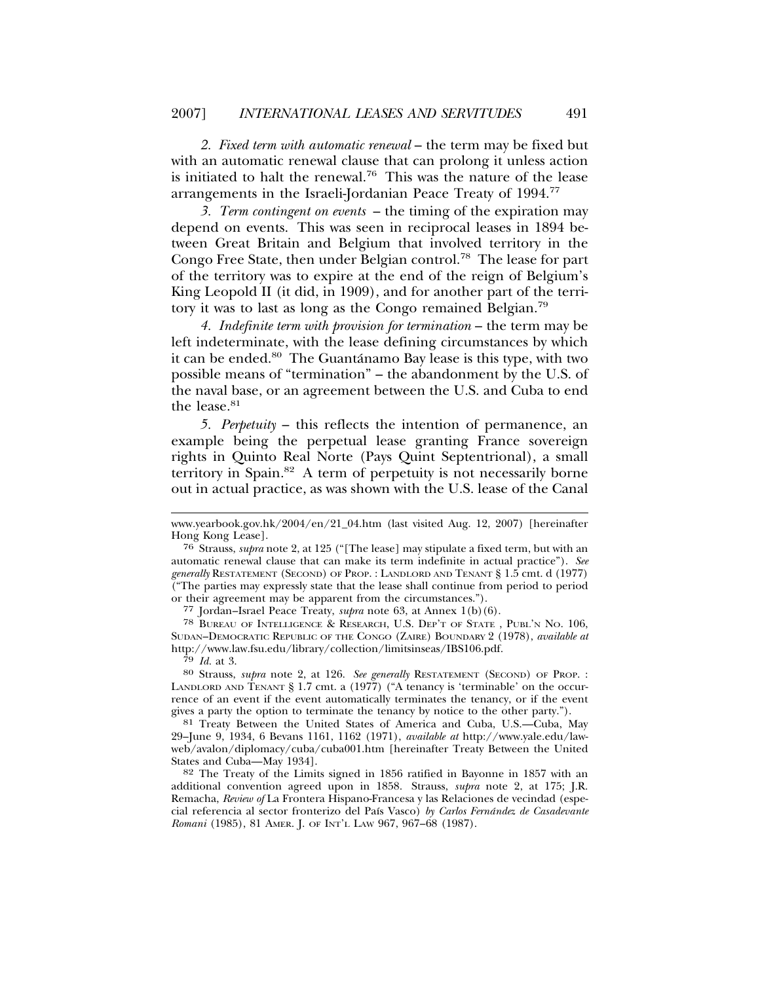2. Fixed term with automatic renewal – the term may be fixed but with an automatic renewal clause that can prolong it unless action is initiated to halt the renewal.76 This was the nature of the lease arrangements in the Israeli-Jordanian Peace Treaty of 1994.77

*3. Term contingent on events* – the timing of the expiration may depend on events. This was seen in reciprocal leases in 1894 between Great Britain and Belgium that involved territory in the Congo Free State, then under Belgian control.78 The lease for part of the territory was to expire at the end of the reign of Belgium's King Leopold II (it did, in 1909), and for another part of the territory it was to last as long as the Congo remained Belgian.79

*4. Indefinite term with provision for termination* – the term may be left indeterminate, with the lease defining circumstances by which it can be ended.<sup>80</sup> The Guantánamo Bay lease is this type, with two possible means of "termination" – the abandonment by the U.S. of the naval base, or an agreement between the U.S. and Cuba to end the lease.<sup>81</sup>

*5. Perpetuity* – this reflects the intention of permanence, an example being the perpetual lease granting France sovereign rights in Quinto Real Norte (Pays Quint Septentrional), a small territory in Spain.82 A term of perpetuity is not necessarily borne out in actual practice, as was shown with the U.S. lease of the Canal

77 Jordan–Israel Peace Treaty, *supra* note 63, at Annex 1(b)(6).

78 BUREAU OF INTELLIGENCE & RESEARCH, U.S. DEP'T OF STATE , PUBL'N NO. 106, SUDAN–DEMOCRATIC REPUBLIC OF THE CONGO (ZAIRE) BOUNDARY 2 (1978), *available at* http://www.law.fsu.edu/library/collection/limitsinseas/IBS106.pdf.

<sup>79</sup> *Id.* at 3. <sup>80</sup> Strauss, *supra* note 2, at 126. *See generally* RESTATEMENT (SECOND) OF PROP. : LANDLORD AND TENANT  $\S 1.7$  cmt. a (1977) ("A tenancy is 'terminable' on the occurrence of an event if the event automatically terminates the tenancy, or if the event gives a party the option to terminate the tenancy by notice to the other party.").

81 Treaty Between the United States of America and Cuba, U.S.—Cuba, May 29–June 9, 1934, 6 Bevans 1161, 1162 (1971), *available at* http://www.yale.edu/lawweb/avalon/diplomacy/cuba/cuba001.htm [hereinafter Treaty Between the United States and Cuba—May 1934].

82 The Treaty of the Limits signed in 1856 ratified in Bayonne in 1857 with an additional convention agreed upon in 1858. Strauss, *supra* note 2, at 175; J.R. Remacha, *Review of* La Frontera Hispano-Francesa y las Relaciones de vecindad (especial referencia al sector fronterizo del Pa´ıs Vasco) *by Carlos Fernandez de Casadevante ´ Romani* (1985), 81 AMER. J. OF INT'L LAW 967, 967–68 (1987).

www.yearbook.gov.hk/2004/en/21\_04.htm (last visited Aug. 12, 2007) [hereinafter Hong Kong Lease].

<sup>76</sup> Strauss, *supra* note 2, at 125 ("[The lease] may stipulate a fixed term, but with an automatic renewal clause that can make its term indefinite in actual practice"). *See generally* RESTATEMENT (SECOND) OF PROP. : LANDLORD AND TENANT § 1.5 cmt. d (1977) ("The parties may expressly state that the lease shall continue from period to period or their agreement may be apparent from the circumstances.").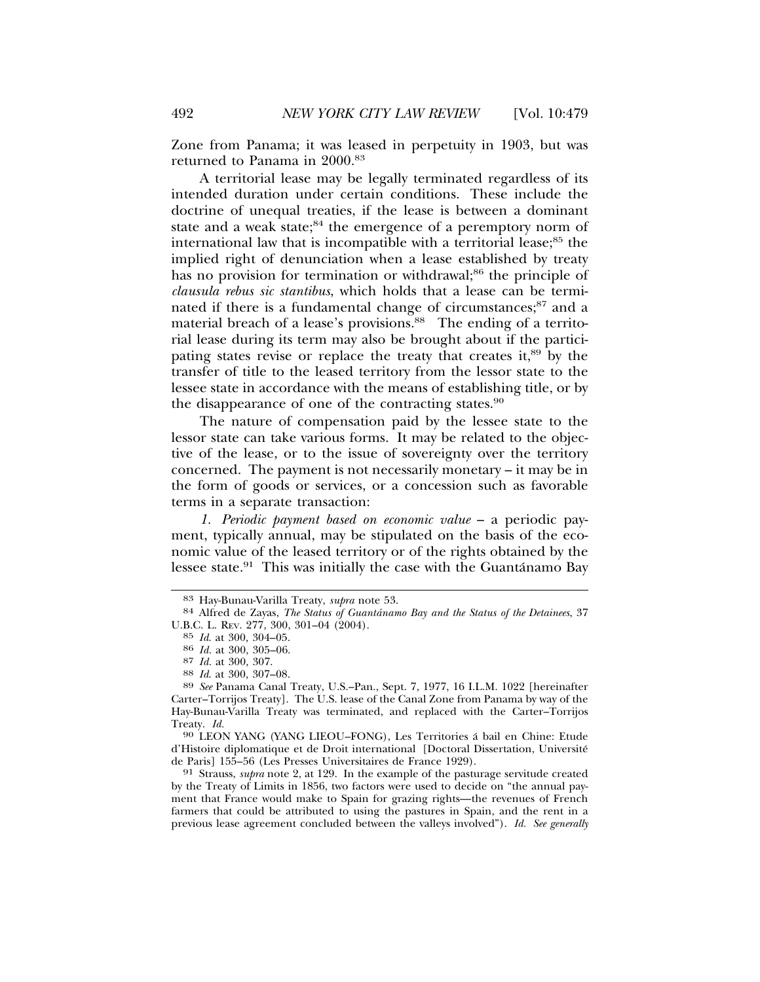Zone from Panama; it was leased in perpetuity in 1903, but was returned to Panama in 2000.83

A territorial lease may be legally terminated regardless of its intended duration under certain conditions. These include the doctrine of unequal treaties, if the lease is between a dominant state and a weak state;<sup>84</sup> the emergence of a peremptory norm of international law that is incompatible with a territorial lease;<sup>85</sup> the implied right of denunciation when a lease established by treaty has no provision for termination or withdrawal;<sup>86</sup> the principle of *clausula rebus sic stantibus*, which holds that a lease can be terminated if there is a fundamental change of circumstances;<sup>87</sup> and a material breach of a lease's provisions.<sup>88</sup> The ending of a territorial lease during its term may also be brought about if the participating states revise or replace the treaty that creates it,<sup>89</sup> by the transfer of title to the leased territory from the lessor state to the lessee state in accordance with the means of establishing title, or by the disappearance of one of the contracting states.<sup>90</sup>

The nature of compensation paid by the lessee state to the lessor state can take various forms. It may be related to the objective of the lease, or to the issue of sovereignty over the territory concerned. The payment is not necessarily monetary – it may be in the form of goods or services, or a concession such as favorable terms in a separate transaction:

*1. Periodic payment based on economic value* – a periodic payment, typically annual, may be stipulated on the basis of the economic value of the leased territory or of the rights obtained by the lessee state.<sup>91</sup> This was initially the case with the Guantánamo Bay

d'Histoire diplomatique et de Droit international [Doctoral Dissertation, Universite´ de Paris] 155–56 (Les Presses Universitaires de France 1929).

91 Strauss, *supra* note 2, at 129. In the example of the pasturage servitude created by the Treaty of Limits in 1856, two factors were used to decide on "the annual payment that France would make to Spain for grazing rights—the revenues of French farmers that could be attributed to using the pastures in Spain, and the rent in a previous lease agreement concluded between the valleys involved"). *Id. See generally*

<sup>83</sup> Hay-Bunau-Varilla Treaty, *supra* note 53. <sup>84</sup> Alfred de Zayas, *The Status of Guantanamo Bay and the Status of the Detainees ´* , 37 U.B.C. L. REV. 277, 300, 301–04 (2004).

<sup>85</sup> *Id*. at 300, 304–05. <sup>86</sup> *Id.* at 300, 305–06.

<sup>87</sup> *Id.* at 300, 307. <sup>88</sup> *Id*. at 300, 307–08. <sup>89</sup> *See* Panama Canal Treaty, U.S.–Pan., Sept. 7, 1977, 16 I.L.M. 1022 [hereinafter Carter–Torrijos Treaty]. The U.S. lease of the Canal Zone from Panama by way of the Hay-Bunau-Varilla Treaty was terminated, and replaced with the Carter–Torrijos Treaty. *Id.* <sup>90</sup> LEON YANG (YANG LIEOU–FONG), Les Territories a bail en Chine: Etude ´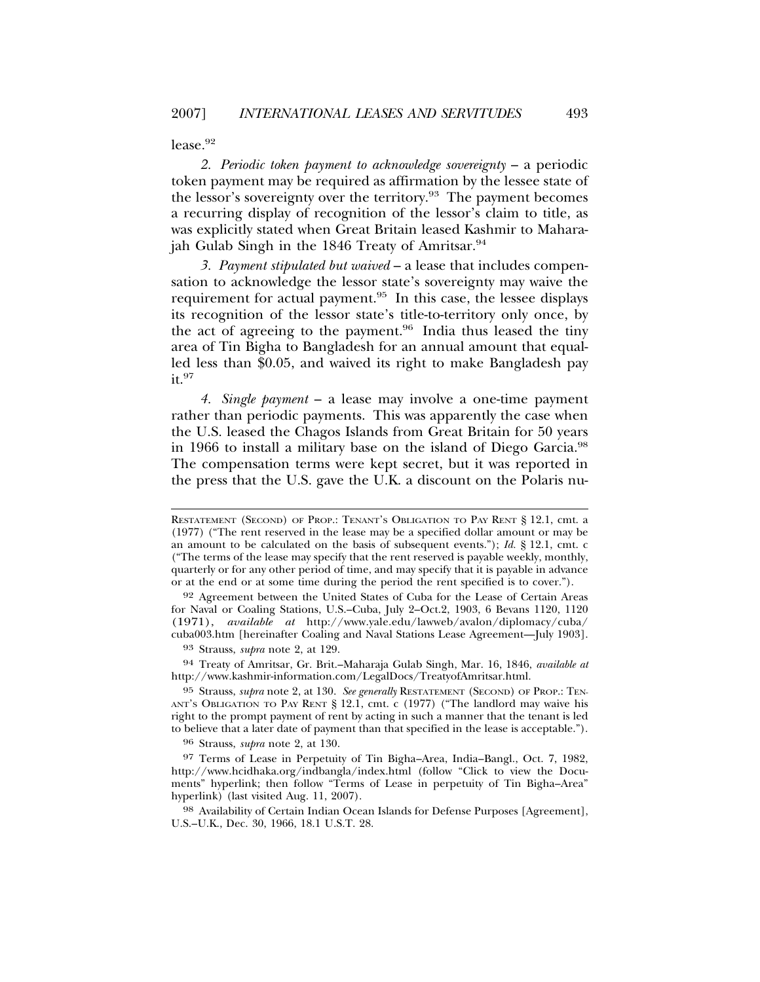lease.<sup>92</sup>

*2. Periodic token payment to acknowledge sovereignty* – a periodic token payment may be required as affirmation by the lessee state of the lessor's sovereignty over the territory.<sup>93</sup> The payment becomes a recurring display of recognition of the lessor's claim to title, as was explicitly stated when Great Britain leased Kashmir to Maharajah Gulab Singh in the 1846 Treaty of Amritsar.<sup>94</sup>

*3. Payment stipulated but waived* – a lease that includes compensation to acknowledge the lessor state's sovereignty may waive the requirement for actual payment.<sup>95</sup> In this case, the lessee displays its recognition of the lessor state's title-to-territory only once, by the act of agreeing to the payment.<sup>96</sup> India thus leased the tiny area of Tin Bigha to Bangladesh for an annual amount that equalled less than \$0.05, and waived its right to make Bangladesh pay it.<sup>97</sup>

*4. Single payment* – a lease may involve a one-time payment rather than periodic payments. This was apparently the case when the U.S. leased the Chagos Islands from Great Britain for 50 years in 1966 to install a military base on the island of Diego Garcia.<sup>98</sup> The compensation terms were kept secret, but it was reported in the press that the U.S. gave the U.K. a discount on the Polaris nu-

93 Strauss, *supra* note 2, at 129.

94 Treaty of Amritsar, Gr. Brit.–Maharaja Gulab Singh, Mar. 16, 1846, *available at* http://www.kashmir-information.com/LegalDocs/TreatyofAmritsar.html.

95 Strauss, *supra* note 2, at 130. *See generally* RESTATEMENT (SECOND) OF PROP.: TEN-ANT'S OBLIGATION TO PAY RENT § 12.1, cmt. c (1977) ("The landlord may waive his right to the prompt payment of rent by acting in such a manner that the tenant is led to believe that a later date of payment than that specified in the lease is acceptable.").

96 Strauss, *supra* note 2, at 130.

98 Availability of Certain Indian Ocean Islands for Defense Purposes [Agreement], U.S.–U.K., Dec. 30, 1966, 18.1 U.S.T. 28.

RESTATEMENT (SECOND) OF PROP.: TENANT'S OBLIGATION TO PAY RENT § 12.1, cmt. a (1977) ("The rent reserved in the lease may be a specified dollar amount or may be an amount to be calculated on the basis of subsequent events."); *Id.* § 12.1, cmt. c ("The terms of the lease may specify that the rent reserved is payable weekly, monthly, quarterly or for any other period of time, and may specify that it is payable in advance or at the end or at some time during the period the rent specified is to cover.").

<sup>92</sup> Agreement between the United States of Cuba for the Lease of Certain Areas for Naval or Coaling Stations, U.S.–Cuba, July 2–Oct.2, 1903, 6 Bevans 1120, 1120 (1971), *available at* http://www.yale.edu/lawweb/avalon/diplomacy/cuba/ cuba003.htm [hereinafter Coaling and Naval Stations Lease Agreement—July 1903].

<sup>97</sup> Terms of Lease in Perpetuity of Tin Bigha–Area, India–Bangl., Oct. 7, 1982, http://www.hcidhaka.org/indbangla/index.html (follow "Click to view the Documents" hyperlink; then follow "Terms of Lease in perpetuity of Tin Bigha–Area" hyperlink) (last visited Aug. 11, 2007).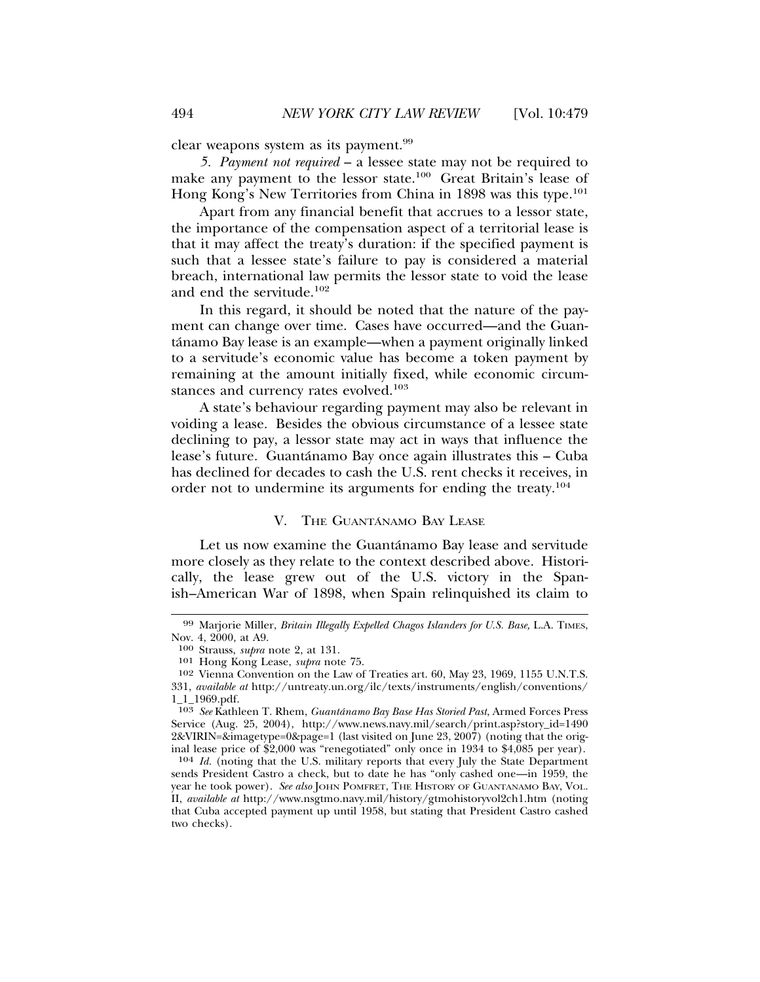clear weapons system as its payment.99

*5. Payment not required* – a lessee state may not be required to make any payment to the lessor state.<sup>100</sup> Great Britain's lease of Hong Kong's New Territories from China in 1898 was this type.<sup>101</sup>

Apart from any financial benefit that accrues to a lessor state, the importance of the compensation aspect of a territorial lease is that it may affect the treaty's duration: if the specified payment is such that a lessee state's failure to pay is considered a material breach, international law permits the lessor state to void the lease and end the servitude.102

In this regard, it should be noted that the nature of the payment can change over time. Cases have occurred—and the Guantanamo Bay lease is an example—when a payment originally linked ´ to a servitude's economic value has become a token payment by remaining at the amount initially fixed, while economic circumstances and currency rates evolved.<sup>103</sup>

A state's behaviour regarding payment may also be relevant in voiding a lease. Besides the obvious circumstance of a lessee state declining to pay, a lessor state may act in ways that influence the lease's future. Guantánamo Bay once again illustrates this - Cuba has declined for decades to cash the U.S. rent checks it receives, in order not to undermine its arguments for ending the treaty.<sup>104</sup>

#### V. THE GUANTÁNAMO BAY LEASE

Let us now examine the Guantánamo Bay lease and servitude more closely as they relate to the context described above. Historically, the lease grew out of the U.S. victory in the Spanish–American War of 1898, when Spain relinquished its claim to

<sup>99</sup> Marjorie Miller, *Britain Illegally Expelled Chagos Islanders for U.S. Base,* L.A. TIMES, Nov. 4, 2000, at A9.

<sup>100</sup> Strauss, *supra* note 2, at 131.

<sup>101</sup> Hong Kong Lease, *supra* note 75.

<sup>102</sup> Vienna Convention on the Law of Treaties art. 60, May 23, 1969, 1155 U.N.T.S. 331, *available at* http://untreaty.un.org/ilc/texts/instruments/english/conventions/ 1\_1\_1969.pdf.

<sup>103</sup> *See* Kathleen T. Rhem, *Guantanamo Bay Base Has Storied Past ´* , Armed Forces Press Service (Aug. 25, 2004), http://www.news.navy.mil/search/print.asp?story\_id=1490 2&VIRIN=&imagetype=0&page=1 (last visited on June 23, 2007) (noting that the original lease price of \$2,000 was "renegotiated" only once in 1934 to \$4,085 per year).

<sup>104</sup> *Id.* (noting that the U.S. military reports that every July the State Department sends President Castro a check, but to date he has "only cashed one—in 1959, the year he took power). *See also* JOHN POMFRET, THE HISTORY OF GUANTANAMO BAY, VOL. II, *available at* http://www.nsgtmo.navy.mil/history/gtmohistoryvol2ch1.htm (noting that Cuba accepted payment up until 1958, but stating that President Castro cashed two checks).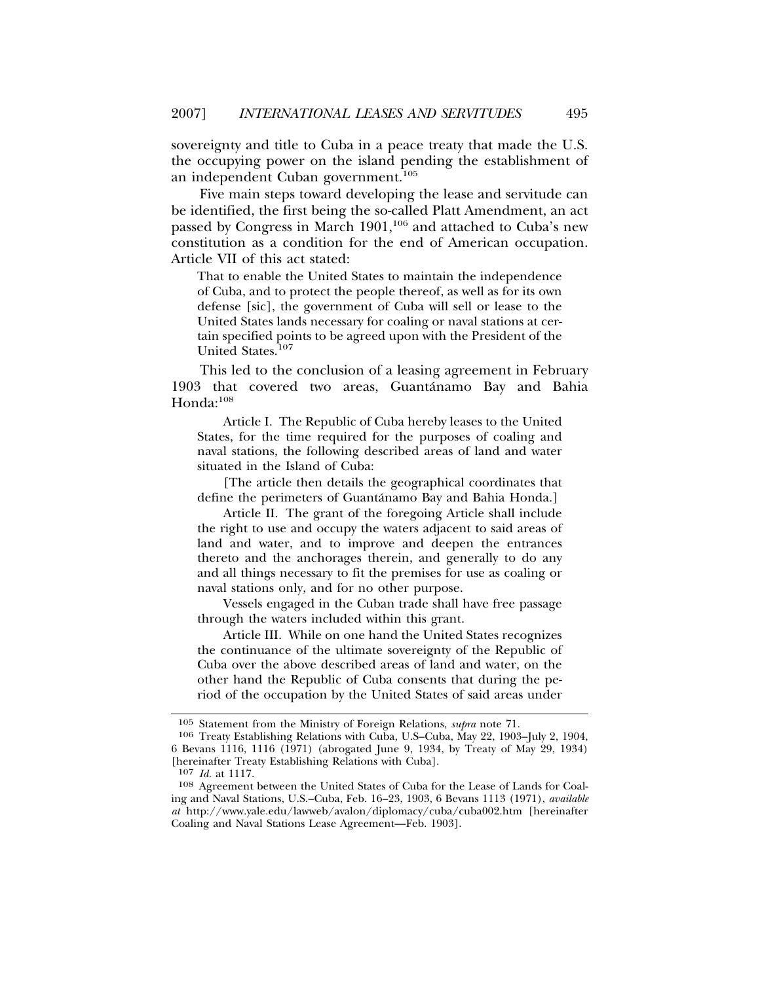sovereignty and title to Cuba in a peace treaty that made the U.S. the occupying power on the island pending the establishment of an independent Cuban government.<sup>105</sup>

Five main steps toward developing the lease and servitude can be identified, the first being the so-called Platt Amendment, an act passed by Congress in March 1901,<sup>106</sup> and attached to Cuba's new constitution as a condition for the end of American occupation. Article VII of this act stated:

That to enable the United States to maintain the independence of Cuba, and to protect the people thereof, as well as for its own defense [sic], the government of Cuba will sell or lease to the United States lands necessary for coaling or naval stations at certain specified points to be agreed upon with the President of the United States.<sup>107</sup>

This led to the conclusion of a leasing agreement in February 1903 that covered two areas, Guantanamo Bay and Bahia ´ Honda:108

Article I. The Republic of Cuba hereby leases to the United States, for the time required for the purposes of coaling and naval stations, the following described areas of land and water situated in the Island of Cuba:

[The article then details the geographical coordinates that define the perimeters of Guantánamo Bay and Bahia Honda.]

Article II. The grant of the foregoing Article shall include the right to use and occupy the waters adjacent to said areas of land and water, and to improve and deepen the entrances thereto and the anchorages therein, and generally to do any and all things necessary to fit the premises for use as coaling or naval stations only, and for no other purpose.

Vessels engaged in the Cuban trade shall have free passage through the waters included within this grant.

Article III. While on one hand the United States recognizes the continuance of the ultimate sovereignty of the Republic of Cuba over the above described areas of land and water, on the other hand the Republic of Cuba consents that during the period of the occupation by the United States of said areas under

<sup>105</sup> Statement from the Ministry of Foreign Relations, *supra* note 71.

<sup>106</sup> Treaty Establishing Relations with Cuba, U.S–Cuba, May 22, 1903–July 2, 1904, 6 Bevans 1116, 1116 (1971) (abrogated June 9, 1934, by Treaty of May 29, 1934) [hereinafter Treaty Establishing Relations with Cuba].

<sup>107</sup> *Id.* at 1117.

<sup>108</sup> Agreement between the United States of Cuba for the Lease of Lands for Coaling and Naval Stations, U.S.–Cuba, Feb. 16–23, 1903, 6 Bevans 1113 (1971), *available at* http://www.yale.edu/lawweb/avalon/diplomacy/cuba/cuba002.htm [hereinafter Coaling and Naval Stations Lease Agreement—Feb. 1903].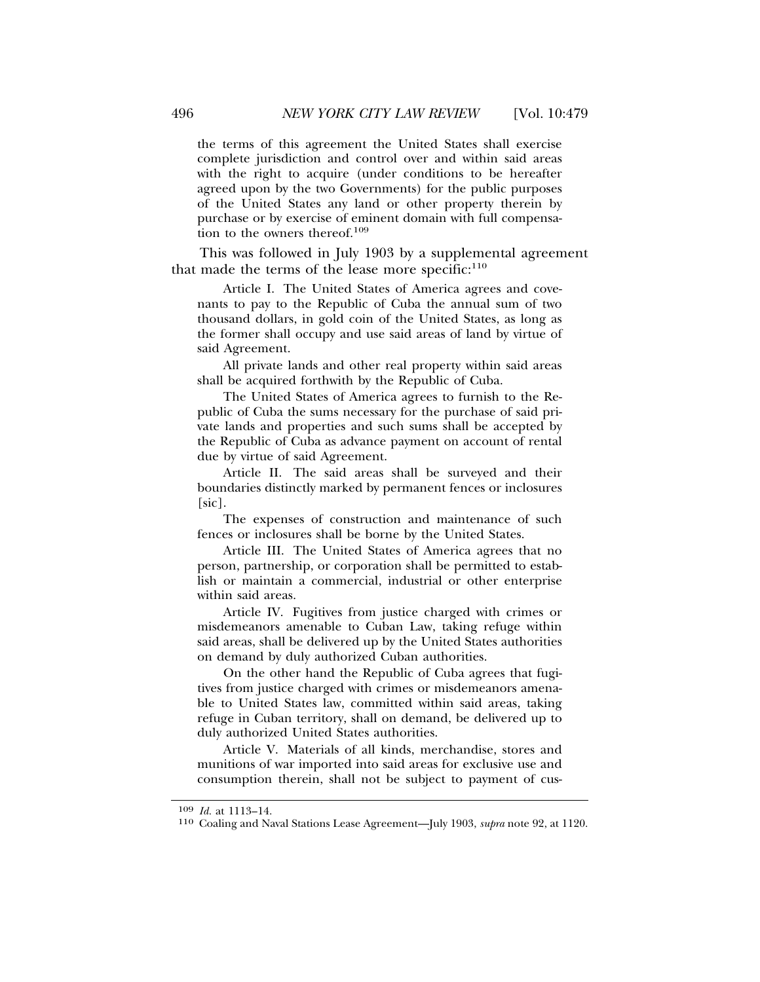the terms of this agreement the United States shall exercise complete jurisdiction and control over and within said areas with the right to acquire (under conditions to be hereafter agreed upon by the two Governments) for the public purposes of the United States any land or other property therein by purchase or by exercise of eminent domain with full compensation to the owners thereof.<sup>109</sup>

This was followed in July 1903 by a supplemental agreement that made the terms of the lease more specific: $110$ 

Article I. The United States of America agrees and covenants to pay to the Republic of Cuba the annual sum of two thousand dollars, in gold coin of the United States, as long as the former shall occupy and use said areas of land by virtue of said Agreement.

All private lands and other real property within said areas shall be acquired forthwith by the Republic of Cuba.

The United States of America agrees to furnish to the Republic of Cuba the sums necessary for the purchase of said private lands and properties and such sums shall be accepted by the Republic of Cuba as advance payment on account of rental due by virtue of said Agreement.

Article II. The said areas shall be surveyed and their boundaries distinctly marked by permanent fences or inclosures [sic].

The expenses of construction and maintenance of such fences or inclosures shall be borne by the United States.

Article III. The United States of America agrees that no person, partnership, or corporation shall be permitted to establish or maintain a commercial, industrial or other enterprise within said areas.

Article IV. Fugitives from justice charged with crimes or misdemeanors amenable to Cuban Law, taking refuge within said areas, shall be delivered up by the United States authorities on demand by duly authorized Cuban authorities.

On the other hand the Republic of Cuba agrees that fugitives from justice charged with crimes or misdemeanors amenable to United States law, committed within said areas, taking refuge in Cuban territory, shall on demand, be delivered up to duly authorized United States authorities.

Article V. Materials of all kinds, merchandise, stores and munitions of war imported into said areas for exclusive use and consumption therein, shall not be subject to payment of cus-

<sup>109</sup> *Id.* at 1113–14.

<sup>110</sup> Coaling and Naval Stations Lease Agreement—July 1903, *supra* note 92, at 1120.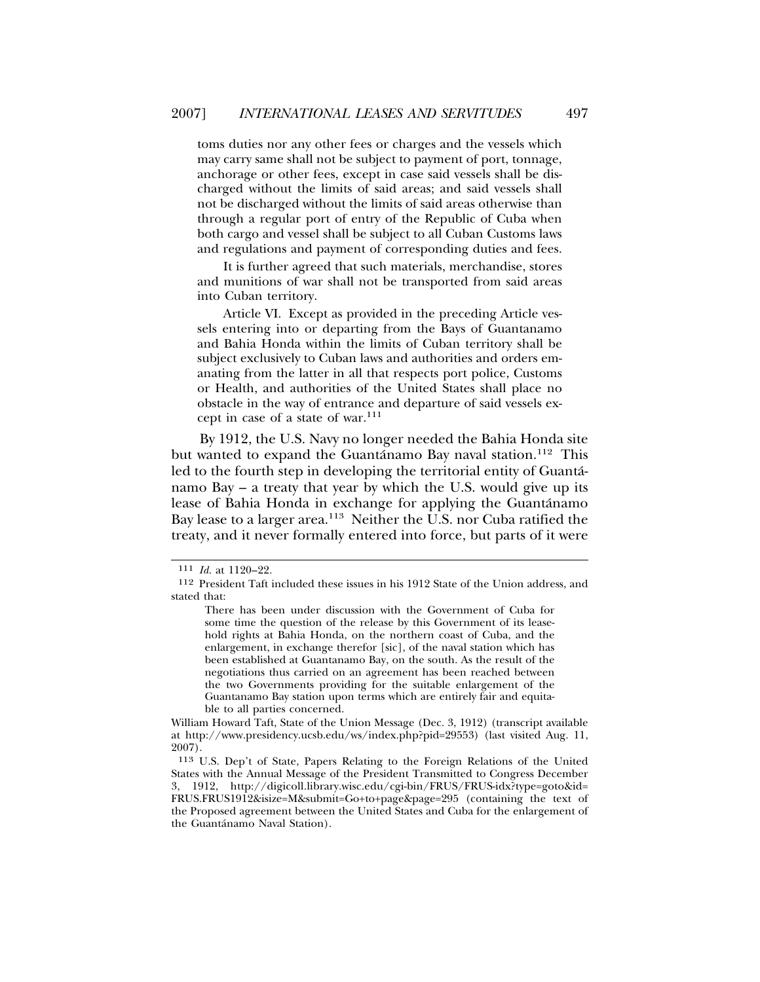toms duties nor any other fees or charges and the vessels which may carry same shall not be subject to payment of port, tonnage, anchorage or other fees, except in case said vessels shall be discharged without the limits of said areas; and said vessels shall not be discharged without the limits of said areas otherwise than through a regular port of entry of the Republic of Cuba when both cargo and vessel shall be subject to all Cuban Customs laws and regulations and payment of corresponding duties and fees.

It is further agreed that such materials, merchandise, stores and munitions of war shall not be transported from said areas into Cuban territory.

Article VI. Except as provided in the preceding Article vessels entering into or departing from the Bays of Guantanamo and Bahia Honda within the limits of Cuban territory shall be subject exclusively to Cuban laws and authorities and orders emanating from the latter in all that respects port police, Customs or Health, and authorities of the United States shall place no obstacle in the way of entrance and departure of said vessels except in case of a state of war.<sup>111</sup>

By 1912, the U.S. Navy no longer needed the Bahia Honda site but wanted to expand the Guantánamo Bay naval station.<sup>112</sup> This led to the fourth step in developing the territorial entity of Guantánamo Bay – a treaty that year by which the U.S. would give up its lease of Bahia Honda in exchange for applying the Guantanamo Bay lease to a larger area.<sup>113</sup> Neither the  $\hat{U}$ .S. nor Cuba ratified the treaty, and it never formally entered into force, but parts of it were

<sup>111</sup> *Id.* at 1120–22.

<sup>112</sup> President Taft included these issues in his 1912 State of the Union address, and stated that:

There has been under discussion with the Government of Cuba for some time the question of the release by this Government of its leasehold rights at Bahia Honda, on the northern coast of Cuba, and the enlargement, in exchange therefor [sic], of the naval station which has been established at Guantanamo Bay, on the south. As the result of the negotiations thus carried on an agreement has been reached between the two Governments providing for the suitable enlargement of the Guantanamo Bay station upon terms which are entirely fair and equitable to all parties concerned.

William Howard Taft, State of the Union Message (Dec. 3, 1912) (transcript available at http://www.presidency.ucsb.edu/ws/index.php?pid=29553) (last visited Aug. 11, 2007).

<sup>113</sup> U.S. Dep't of State, Papers Relating to the Foreign Relations of the United States with the Annual Message of the President Transmitted to Congress December 3, 1912, http://digicoll.library.wisc.edu/cgi-bin/FRUS/FRUS-idx?type=goto&id= FRUS.FRUS1912&isize=M&submit=Go+to+page&page=295 (containing the text of the Proposed agreement between the United States and Cuba for the enlargement of the Guantánamo Naval Station).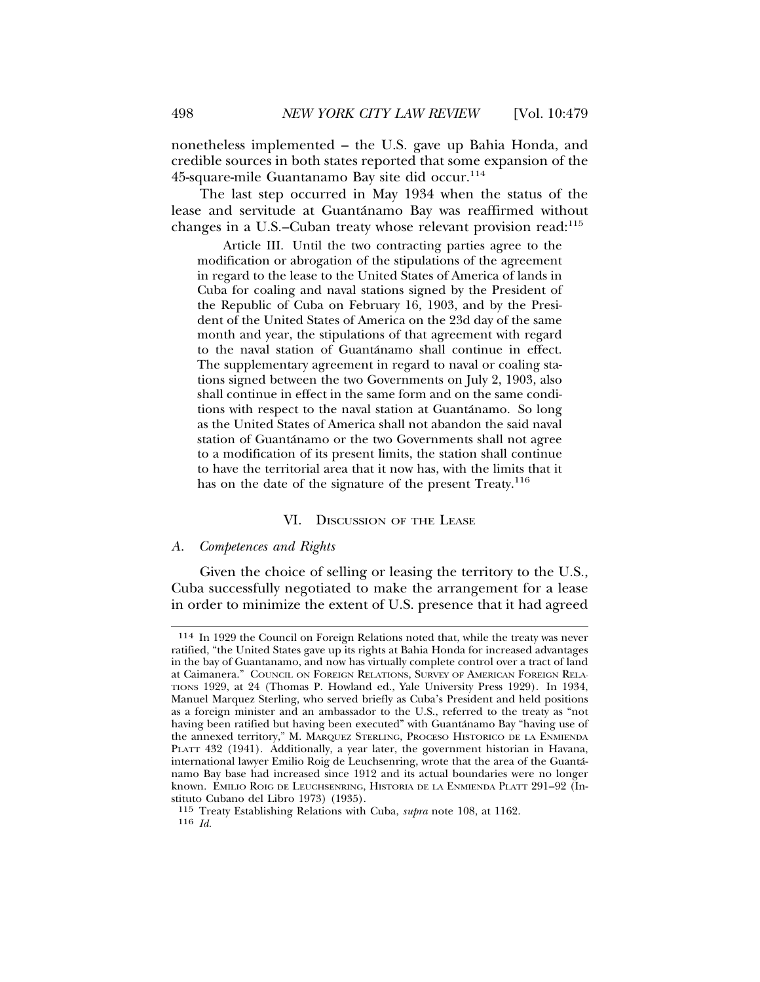nonetheless implemented – the U.S. gave up Bahia Honda, and credible sources in both states reported that some expansion of the 45-square-mile Guantanamo Bay site did occur.<sup>114</sup>

The last step occurred in May 1934 when the status of the lease and servitude at Guantánamo Bay was reaffirmed without changes in a U.S.–Cuban treaty whose relevant provision read:115

Article III. Until the two contracting parties agree to the modification or abrogation of the stipulations of the agreement in regard to the lease to the United States of America of lands in Cuba for coaling and naval stations signed by the President of the Republic of Cuba on February 16, 1903, and by the President of the United States of America on the 23d day of the same month and year, the stipulations of that agreement with regard to the naval station of Guantánamo shall continue in effect. The supplementary agreement in regard to naval or coaling stations signed between the two Governments on July 2, 1903, also shall continue in effect in the same form and on the same conditions with respect to the naval station at Guantánamo. So long as the United States of America shall not abandon the said naval station of Guantánamo or the two Governments shall not agree to a modification of its present limits, the station shall continue to have the territorial area that it now has, with the limits that it has on the date of the signature of the present Treaty.<sup>116</sup>

#### VI. DISCUSSION OF THE LEASE

#### *A. Competences and Rights*

Given the choice of selling or leasing the territory to the U.S., Cuba successfully negotiated to make the arrangement for a lease in order to minimize the extent of U.S. presence that it had agreed

<sup>114</sup> In 1929 the Council on Foreign Relations noted that, while the treaty was never ratified, "the United States gave up its rights at Bahia Honda for increased advantages in the bay of Guantanamo, and now has virtually complete control over a tract of land at Caimanera." COUNCIL ON FOREIGN RELATIONS, SURVEY OF AMERICAN FOREIGN RELA-TIONS 1929, at 24 (Thomas P. Howland ed., Yale University Press 1929). In 1934, Manuel Marquez Sterling, who served briefly as Cuba's President and held positions as a foreign minister and an ambassador to the U.S., referred to the treaty as "not having been ratified but having been executed" with Guantánamo Bay "having use of the annexed territory," M. MARQUEZ STERLING, PROCESO HISTORICO DE LA ENMIENDA PLATT 432 (1941). Additionally, a year later, the government historian in Havana, international lawyer Emilio Roig de Leuchsenring, wrote that the area of the Guanta-´ namo Bay base had increased since 1912 and its actual boundaries were no longer known. EMILIO ROIG DE LEUCHSENRING, HISTORIA DE LA ENMIENDA PLATT 291–92 (Instituto Cubano del Libro 1973) (1935).

<sup>115</sup> Treaty Establishing Relations with Cuba, *supra* note 108, at 1162. 116 *Id.*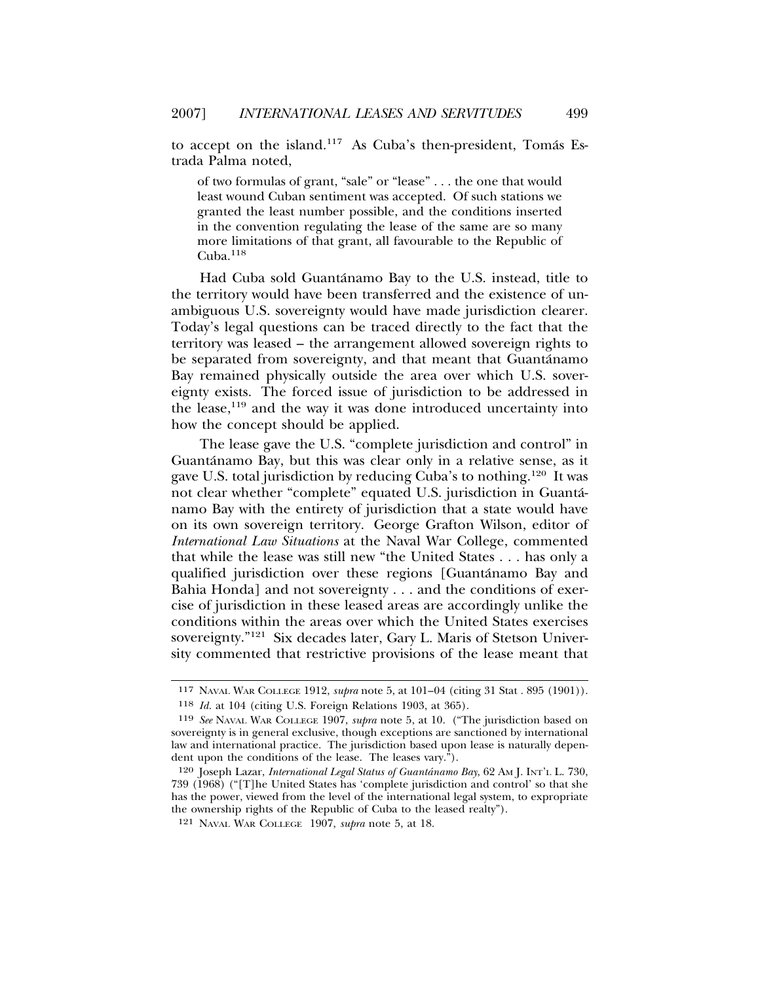to accept on the island.<sup>117</sup> As Cuba's then-president, Tomás Estrada Palma noted,

of two formulas of grant, "sale" or "lease" . . . the one that would least wound Cuban sentiment was accepted. Of such stations we granted the least number possible, and the conditions inserted in the convention regulating the lease of the same are so many more limitations of that grant, all favourable to the Republic of Cuba.<sup>118</sup>

Had Cuba sold Guantánamo Bay to the U.S. instead, title to the territory would have been transferred and the existence of unambiguous U.S. sovereignty would have made jurisdiction clearer. Today's legal questions can be traced directly to the fact that the territory was leased – the arrangement allowed sovereign rights to be separated from sovereignty, and that meant that Guantánamo Bay remained physically outside the area over which U.S. sovereignty exists. The forced issue of jurisdiction to be addressed in the lease, $119$  and the way it was done introduced uncertainty into how the concept should be applied.

The lease gave the U.S. "complete jurisdiction and control" in Guantánamo Bay, but this was clear only in a relative sense, as it gave U.S. total jurisdiction by reducing Cuba's to nothing.120 It was not clear whether "complete" equated U.S. jurisdiction in Guanta-´ namo Bay with the entirety of jurisdiction that a state would have on its own sovereign territory. George Grafton Wilson, editor of *International Law Situations* at the Naval War College, commented that while the lease was still new "the United States . . . has only a qualified jurisdiction over these regions [Guantanamo Bay and ´ Bahia Honda] and not sovereignty . . . and the conditions of exercise of jurisdiction in these leased areas are accordingly unlike the conditions within the areas over which the United States exercises sovereignty."121 Six decades later, Gary L. Maris of Stetson University commented that restrictive provisions of the lease meant that

<sup>117</sup> NAVAL WAR COLLEGE 1912, *supra* note 5, at 101–04 (citing 31 Stat . 895 (1901)).

<sup>118</sup> *Id.* at 104 (citing U.S. Foreign Relations 1903, at 365).

<sup>119</sup> *See* NAVAL WAR COLLEGE 1907, *supra* note 5, at 10. ("The jurisdiction based on sovereignty is in general exclusive, though exceptions are sanctioned by international law and international practice. The jurisdiction based upon lease is naturally dependent upon the conditions of the lease. The leases vary.<sup>"</sup>).

<sup>120</sup> Joseph Lazar, *International Legal Status of Guantanamo Bay ´* , 62 AM J. INT'L L. 730, 739 (1968) ("[T]he United States has 'complete jurisdiction and control' so that she has the power, viewed from the level of the international legal system, to expropriate the ownership rights of the Republic of Cuba to the leased realty").

<sup>121</sup> NAVAL WAR COLLEGE 1907, *supra* note 5, at 18.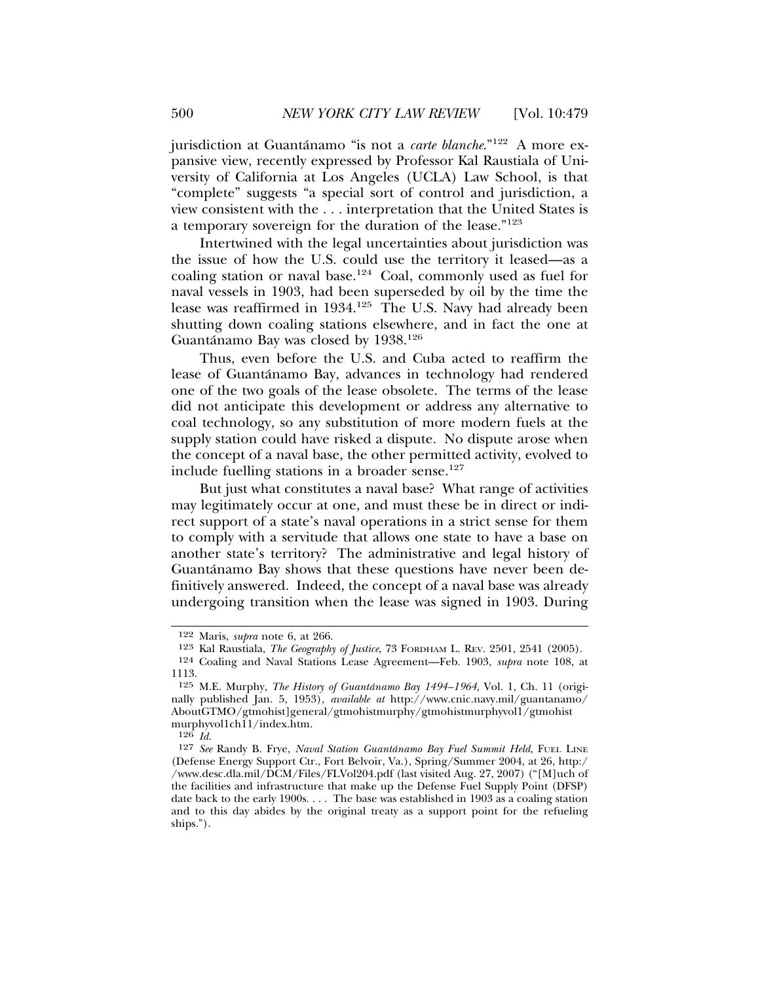jurisdiction at Guantánamo "is not a *carte blanche*."<sup>122</sup> A more expansive view, recently expressed by Professor Kal Raustiala of University of California at Los Angeles (UCLA) Law School, is that "complete" suggests "a special sort of control and jurisdiction, a view consistent with the . . . interpretation that the United States is a temporary sovereign for the duration of the lease."<sup>123</sup>

Intertwined with the legal uncertainties about jurisdiction was the issue of how the U.S. could use the territory it leased—as a coaling station or naval base.<sup>124</sup> Coal, commonly used as fuel for naval vessels in 1903, had been superseded by oil by the time the lease was reaffirmed in 1934.125 The U.S. Navy had already been shutting down coaling stations elsewhere, and in fact the one at Guantánamo Bay was closed by 1938.<sup>126</sup>

Thus, even before the U.S. and Cuba acted to reaffirm the lease of Guantánamo Bay, advances in technology had rendered one of the two goals of the lease obsolete. The terms of the lease did not anticipate this development or address any alternative to coal technology, so any substitution of more modern fuels at the supply station could have risked a dispute. No dispute arose when the concept of a naval base, the other permitted activity, evolved to include fuelling stations in a broader sense.<sup>127</sup>

But just what constitutes a naval base? What range of activities may legitimately occur at one, and must these be in direct or indirect support of a state's naval operations in a strict sense for them to comply with a servitude that allows one state to have a base on another state's territory? The administrative and legal history of Guantánamo Bay shows that these questions have never been definitively answered. Indeed, the concept of a naval base was already undergoing transition when the lease was signed in 1903. During

<sup>122</sup> Maris, *supra* note 6, at 266.

<sup>123</sup> Kal Raustiala, *The Geography of Justice*, 73 FORDHAM L. REV. 2501, 2541 (2005).

<sup>124</sup> Coaling and Naval Stations Lease Agreement—Feb. 1903, *supra* note 108, at 1113.

<sup>125</sup> M.E. Murphy, *The History of Guantanamo Bay 1494–1964, ´* Vol. 1, Ch. 11 (originally published Jan. 5, 1953), *available at* http://www.cnic.navy.mil/guantanamo/ AboutGTMO/gtmohist]general/gtmohistmurphy/gtmohistmurphyvol1/gtmohist murphyvol1ch11/index.htm.

<sup>126</sup> *Id.*

<sup>&</sup>lt;sup>127</sup> See Randy B. Frye, *Naval Station Guantánamo Bay Fuel Summit Held*, FUEL LINE (Defense Energy Support Ctr., Fort Belvoir, Va.), Spring/Summer 2004, at 26, http:/ /www.desc.dla.mil/DCM/Files/FLVol204.pdf (last visited Aug. 27, 2007) ("[M]uch of the facilities and infrastructure that make up the Defense Fuel Supply Point (DFSP) date back to the early 1900s. . . . The base was established in 1903 as a coaling station and to this day abides by the original treaty as a support point for the refueling ships.").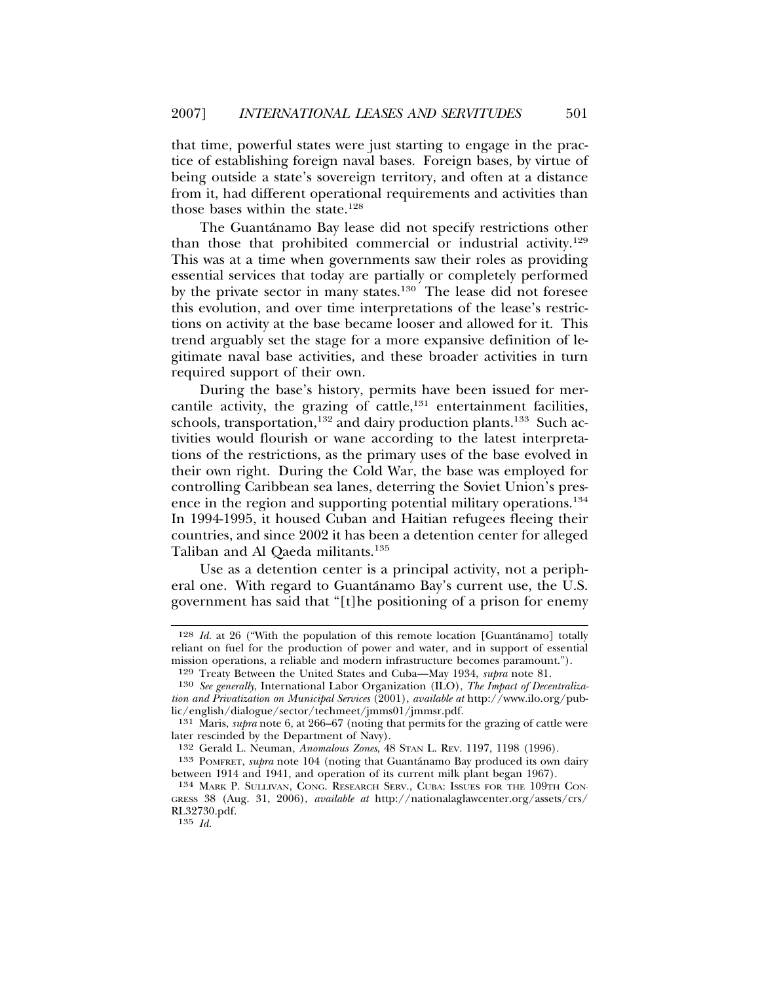that time, powerful states were just starting to engage in the practice of establishing foreign naval bases. Foreign bases, by virtue of being outside a state's sovereign territory, and often at a distance from it, had different operational requirements and activities than those bases within the state.<sup>128</sup>

The Guantánamo Bay lease did not specify restrictions other than those that prohibited commercial or industrial activity.129 This was at a time when governments saw their roles as providing essential services that today are partially or completely performed by the private sector in many states.130 The lease did not foresee this evolution, and over time interpretations of the lease's restrictions on activity at the base became looser and allowed for it. This trend arguably set the stage for a more expansive definition of legitimate naval base activities, and these broader activities in turn required support of their own.

During the base's history, permits have been issued for mercantile activity, the grazing of cattle, $131$  entertainment facilities, schools, transportation,<sup>132</sup> and dairy production plants.<sup>133</sup> Such activities would flourish or wane according to the latest interpretations of the restrictions, as the primary uses of the base evolved in their own right. During the Cold War, the base was employed for controlling Caribbean sea lanes, deterring the Soviet Union's presence in the region and supporting potential military operations.<sup>134</sup> In 1994-1995, it housed Cuban and Haitian refugees fleeing their countries, and since 2002 it has been a detention center for alleged Taliban and Al Qaeda militants.<sup>135</sup>

Use as a detention center is a principal activity, not a peripheral one. With regard to Guantánamo Bay's current use, the U.S. government has said that "[t]he positioning of a prison for enemy

<sup>&</sup>lt;sup>128</sup> *Id.* at 26 ("With the population of this remote location [Guantánamo] totally reliant on fuel for the production of power and water, and in support of essential mission operations, a reliable and modern infrastructure becomes paramount.").

<sup>129</sup> Treaty Between the United States and Cuba—May 1934, *supra* note 81.

<sup>130</sup> *See generally*, International Labor Organization (ILO), *The Impact of Decentralization and Privatization on Municipal Services* (2001), *available at* http://www.ilo.org/public/english/dialogue/sector/techmeet/jmms01/jmmsr.pdf.

<sup>131</sup> Maris, *supra* note 6, at 266–67 (noting that permits for the grazing of cattle were later rescinded by the Department of Navy).

<sup>132</sup> Gerald L. Neuman, *Anomalous Zones*, 48 STAN L. REV. 1197, 1198 (1996).

<sup>&</sup>lt;sup>133</sup> POMFRET, *supra* note 104 (noting that Guantánamo Bay produced its own dairy between 1914 and 1941, and operation of its current milk plant began 1967).

<sup>134</sup> MARK P. SULLIVAN, CONG. RESEARCH SERV., CUBA: ISSUES FOR THE 109TH CON-GRESS 38 (Aug. 31, 2006), *available at* http://nationalaglawcenter.org/assets/crs/ RL32730.pdf.

<sup>135</sup> *Id.*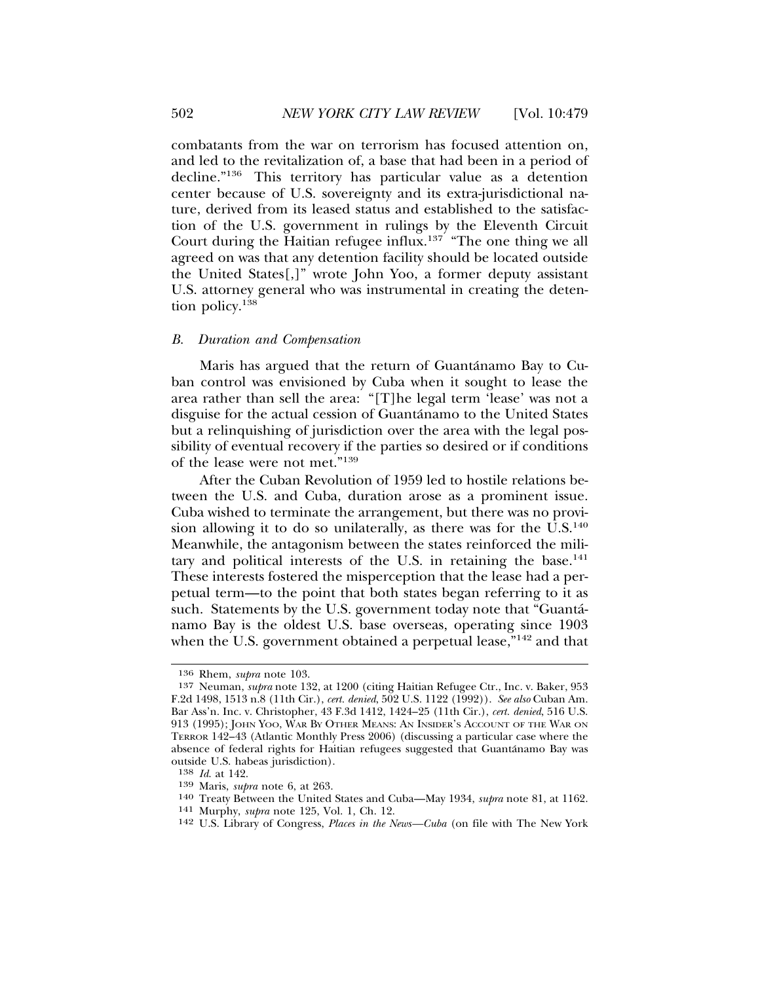combatants from the war on terrorism has focused attention on, and led to the revitalization of, a base that had been in a period of decline."136 This territory has particular value as a detention center because of U.S. sovereignty and its extra-jurisdictional nature, derived from its leased status and established to the satisfaction of the U.S. government in rulings by the Eleventh Circuit Court during the Haitian refugee influx.<sup>137</sup> "The one thing we all agreed on was that any detention facility should be located outside the United States[,]" wrote John Yoo, a former deputy assistant U.S. attorney general who was instrumental in creating the detention policy.<sup>138</sup>

#### *B. Duration and Compensation*

Maris has argued that the return of Guantanamo Bay to Cuban control was envisioned by Cuba when it sought to lease the area rather than sell the area: "[T]he legal term 'lease' was not a disguise for the actual cession of Guantánamo to the United States but a relinquishing of jurisdiction over the area with the legal possibility of eventual recovery if the parties so desired or if conditions of the lease were not met."139

After the Cuban Revolution of 1959 led to hostile relations between the U.S. and Cuba, duration arose as a prominent issue. Cuba wished to terminate the arrangement, but there was no provision allowing it to do so unilaterally, as there was for the  $U.S.<sup>140</sup>$ Meanwhile, the antagonism between the states reinforced the military and political interests of the U.S. in retaining the base.<sup>141</sup> These interests fostered the misperception that the lease had a perpetual term—to the point that both states began referring to it as such. Statements by the U.S. government today note that "Guantánamo Bay is the oldest U.S. base overseas, operating since 1903 when the U.S. government obtained a perpetual lease,"<sup>142</sup> and that

<sup>136</sup> Rhem, *supra* note 103.

<sup>137</sup> Neuman, *supra* note 132, at 1200 (citing Haitian Refugee Ctr., Inc. v. Baker, 953 F.2d 1498, 1513 n.8 (11th Cir.), *cert. denied*, 502 U.S. 1122 (1992)). *See also* Cuban Am. Bar Ass'n. Inc. v. Christopher, 43 F.3d 1412, 1424–25 (11th Cir.), *cert. denied*, 516 U.S. 913 (1995); JOHN YOO, WAR BY OTHER MEANS: AN INSIDER'S ACCOUNT OF THE WAR ON TERROR 142–43 (Atlantic Monthly Press 2006) (discussing a particular case where the absence of federal rights for Haitian refugees suggested that Guantanamo Bay was ´ outside U.S. habeas jurisdiction).

<sup>138</sup> *Id*. at 142.

<sup>139</sup> Maris, *supra* note 6, at 263.

<sup>140</sup> Treaty Between the United States and Cuba—May 1934, *supra* note 81, at 1162. <sup>141</sup> Murphy, *supra* note 125, Vol. 1, Ch. 12.

<sup>142</sup> U.S. Library of Congress, *Places in the News—Cuba* (on file with The New York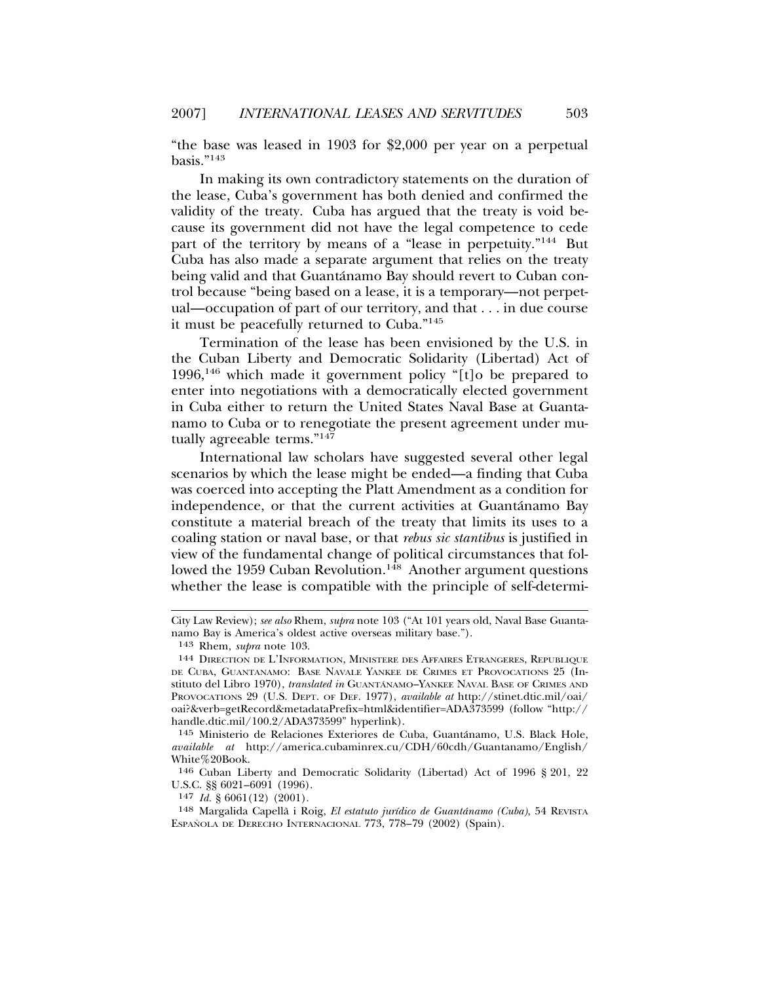"the base was leased in 1903 for \$2,000 per year on a perpetual basis."143

In making its own contradictory statements on the duration of the lease, Cuba's government has both denied and confirmed the validity of the treaty. Cuba has argued that the treaty is void because its government did not have the legal competence to cede part of the territory by means of a "lease in perpetuity."<sup>144</sup> But Cuba has also made a separate argument that relies on the treaty being valid and that Guantánamo Bay should revert to Cuban control because "being based on a lease, it is a temporary—not perpetual—occupation of part of our territory, and that . . . in due course it must be peacefully returned to Cuba."<sup>145</sup>

Termination of the lease has been envisioned by the U.S. in the Cuban Liberty and Democratic Solidarity (Libertad) Act of 1996,<sup>146</sup> which made it government policy "[t]o be prepared to enter into negotiations with a democratically elected government in Cuba either to return the United States Naval Base at Guantanamo to Cuba or to renegotiate the present agreement under mutually agreeable terms."<sup>147</sup>

International law scholars have suggested several other legal scenarios by which the lease might be ended—a finding that Cuba was coerced into accepting the Platt Amendment as a condition for independence, or that the current activities at Guantanamo Bay ´ constitute a material breach of the treaty that limits its uses to a coaling station or naval base, or that *rebus sic stantibus* is justified in view of the fundamental change of political circumstances that followed the 1959 Cuban Revolution.<sup>148</sup> Another argument questions whether the lease is compatible with the principle of self-determi-

147 *Id.* § 6061(12) (2001).

City Law Review); *see also* Rhem, *supra* note 103 ("At 101 years old, Naval Base Guantanamo Bay is America's oldest active overseas military base.").

<sup>143</sup> Rhem, *supra* note 103.

<sup>144</sup> DIRECTION DE L'INFORMATION, MINISTERE DES AFFAIRES ETRANGERES, REPUBLIQUE DE CUBA, GUANTANAMO: BASE NAVALE YANKEE DE CRIMES ET PROVOCATIONS 25 (Instituto del Libro 1970), *translated in* GUANTANAMO-YANKEE NAVAL BASE OF CRIMES AND PROVOCATIONS 29 (U.S. DEPT. OF DEF. 1977), *available at* http://stinet.dtic.mil/oai/ oai?&verb=getRecord&metadataPrefix=html&identifier=ADA373599 (follow "http:// handle.dtic.mil/100.2/ADA373599" hyperlink).

<sup>&</sup>lt;sup>145</sup> Ministerio de Relaciones Exteriores de Cuba, Guantánamo, U.S. Black Hole, *available at* http://america.cubaminrex.cu/CDH/60cdh/Guantanamo/English/ White%20Book.

<sup>146</sup> Cuban Liberty and Democratic Solidarity (Libertad) Act of 1996 § 201, 22 U.S.C. §§ 6021–6091 (1996).

<sup>148</sup> Margalida Capellà i Roig, El estatuto jurídico de Guantánamo (Cuba), 54 REVISTA ESPAÑOLA DE DERECHO INTERNACIONAL 773, 778-79 (2002) (Spain).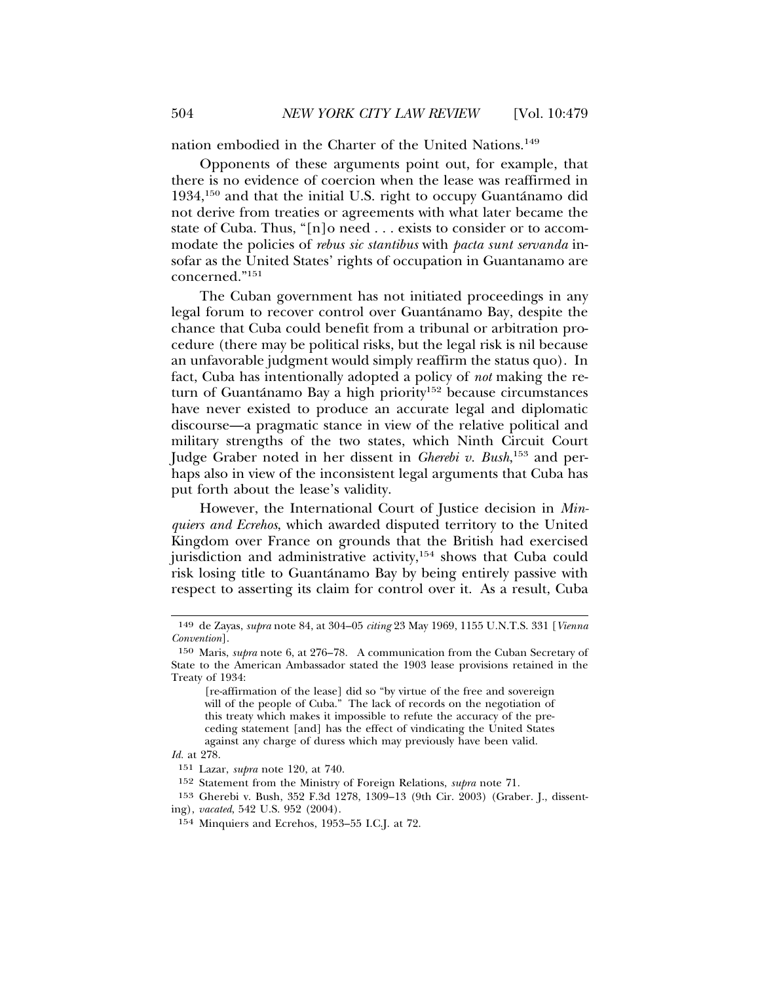nation embodied in the Charter of the United Nations.149

Opponents of these arguments point out, for example, that there is no evidence of coercion when the lease was reaffirmed in  $1934<sub>150</sub>$  and that the initial U.S. right to occupy Guantanamo did not derive from treaties or agreements with what later became the state of Cuba. Thus, "[n]o need . . . exists to consider or to accommodate the policies of *rebus sic stantibus* with *pacta sunt servanda* insofar as the United States' rights of occupation in Guantanamo are concerned."151

The Cuban government has not initiated proceedings in any legal forum to recover control over Guantanamo Bay, despite the ´ chance that Cuba could benefit from a tribunal or arbitration procedure (there may be political risks, but the legal risk is nil because an unfavorable judgment would simply reaffirm the status quo). In fact, Cuba has intentionally adopted a policy of *not* making the return of Guantánamo Bay a high priority<sup>152</sup> because circumstances have never existed to produce an accurate legal and diplomatic discourse—a pragmatic stance in view of the relative political and military strengths of the two states, which Ninth Circuit Court Judge Graber noted in her dissent in *Gherebi v. Bush*,<sup>153</sup> and perhaps also in view of the inconsistent legal arguments that Cuba has put forth about the lease's validity.

However, the International Court of Justice decision in *Minquiers and Ecrehos*, which awarded disputed territory to the United Kingdom over France on grounds that the British had exercised jurisdiction and administrative activity,<sup>154</sup> shows that Cuba could risk losing title to Guantánamo Bay by being entirely passive with respect to asserting its claim for control over it. As a result, Cuba

<sup>149</sup> de Zayas, *supra* note 84, at 304–05 *citing* 23 May 1969, 1155 U.N.T.S. 331 [*Vienna Convention*].

<sup>150</sup> Maris, *supra* note 6, at 276–78. A communication from the Cuban Secretary of State to the American Ambassador stated the 1903 lease provisions retained in the Treaty of 1934:

<sup>[</sup>re-affirmation of the lease] did so "by virtue of the free and sovereign will of the people of Cuba." The lack of records on the negotiation of this treaty which makes it impossible to refute the accuracy of the preceding statement [and] has the effect of vindicating the United States against any charge of duress which may previously have been valid.

*Id.* at 278.

<sup>151</sup> Lazar, *supra* note 120, at 740.

<sup>152</sup> Statement from the Ministry of Foreign Relations, *supra* note 71.

<sup>153</sup> Gherebi v. Bush, 352 F.3d 1278, 1309–13 (9th Cir. 2003) (Graber. J., dissenting), *vacated*, 542 U.S. 952 (2004).

<sup>154</sup> Minquiers and Ecrehos, 1953–55 I.C.J. at 72.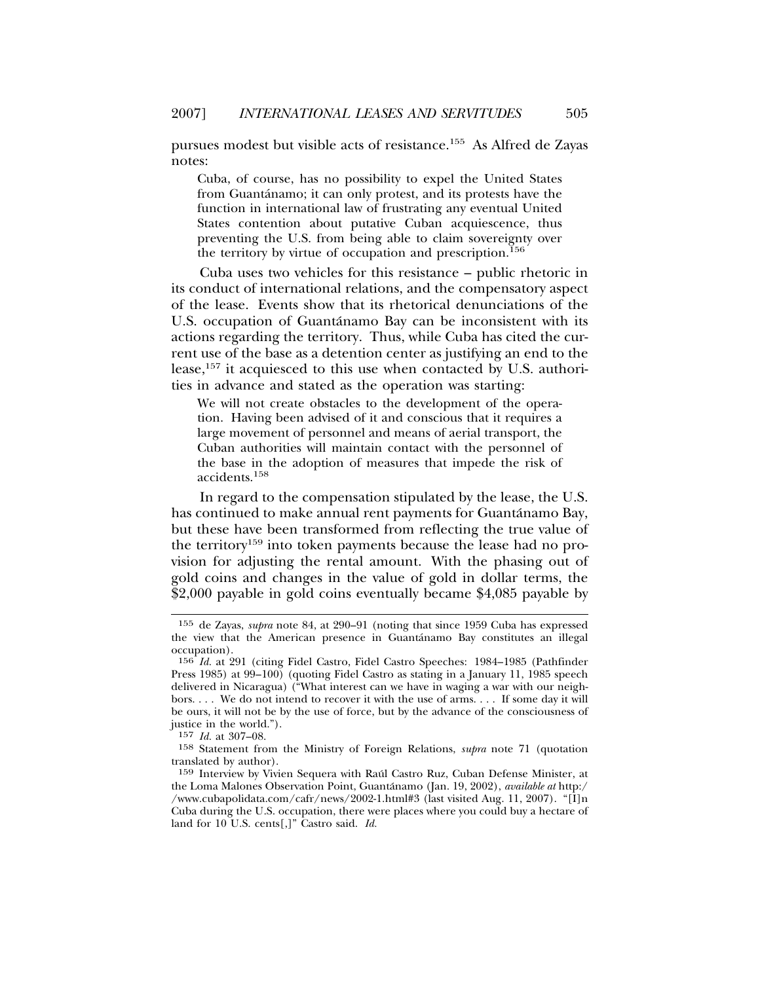pursues modest but visible acts of resistance.155 As Alfred de Zayas notes:

Cuba, of course, has no possibility to expel the United States from Guantánamo; it can only protest, and its protests have the function in international law of frustrating any eventual United States contention about putative Cuban acquiescence, thus preventing the U.S. from being able to claim sovereignty over the territory by virtue of occupation and prescription.<sup>156</sup>

Cuba uses two vehicles for this resistance – public rhetoric in its conduct of international relations, and the compensatory aspect of the lease. Events show that its rhetorical denunciations of the U.S. occupation of Guantánamo Bay can be inconsistent with its actions regarding the territory. Thus, while Cuba has cited the current use of the base as a detention center as justifying an end to the lease,157 it acquiesced to this use when contacted by U.S. authorities in advance and stated as the operation was starting:

We will not create obstacles to the development of the operation. Having been advised of it and conscious that it requires a large movement of personnel and means of aerial transport, the Cuban authorities will maintain contact with the personnel of the base in the adoption of measures that impede the risk of accidents.<sup>158</sup>

In regard to the compensation stipulated by the lease, the U.S. has continued to make annual rent payments for Guantanamo Bay, but these have been transformed from reflecting the true value of the territory159 into token payments because the lease had no provision for adjusting the rental amount. With the phasing out of gold coins and changes in the value of gold in dollar terms, the \$2,000 payable in gold coins eventually became \$4,085 payable by

<sup>155</sup> de Zayas, *supra* note 84, at 290–91 (noting that since 1959 Cuba has expressed the view that the American presence in Guantanamo Bay constitutes an illegal ´ occupation).

<sup>156</sup> *Id.* at 291 (citing Fidel Castro, Fidel Castro Speeches: 1984–1985 (Pathfinder Press 1985) at 99–100) (quoting Fidel Castro as stating in a January 11, 1985 speech delivered in Nicaragua) ("What interest can we have in waging a war with our neighbors. . . . We do not intend to recover it with the use of arms. . . . If some day it will be ours, it will not be by the use of force, but by the advance of the consciousness of justice in the world.").

<sup>157</sup> *Id.* at 307–08.

<sup>158</sup> Statement from the Ministry of Foreign Relations, *supra* note 71 (quotation translated by author).

<sup>159</sup> Interview by Vivien Sequera with Raul Castro Ruz, Cuban Defense Minister, at ´ the Loma Malones Observation Point, Guantánamo (Jan. 19, 2002), *available at* http:/ /www.cubapolidata.com/cafr/news/2002-1.html#3 (last visited Aug. 11, 2007). "[I]n Cuba during the U.S. occupation, there were places where you could buy a hectare of land for 10 U.S. cents[,]" Castro said. *Id.*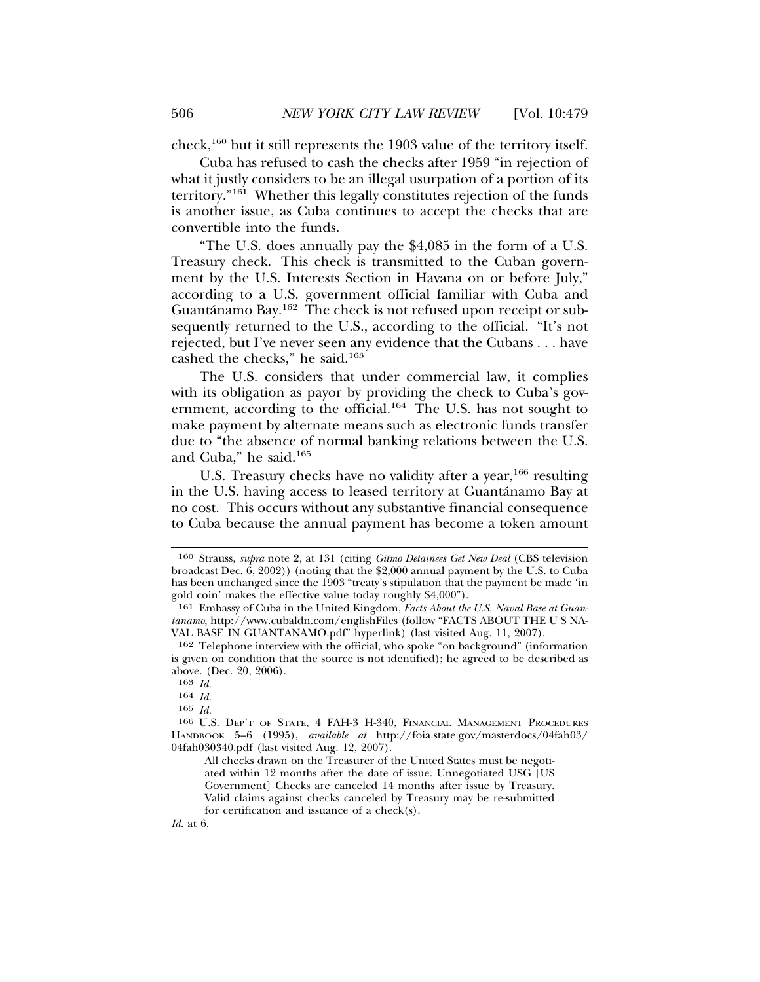check,160 but it still represents the 1903 value of the territory itself.

Cuba has refused to cash the checks after 1959 "in rejection of what it justly considers to be an illegal usurpation of a portion of its territory."161 Whether this legally constitutes rejection of the funds is another issue, as Cuba continues to accept the checks that are convertible into the funds.

"The U.S. does annually pay the \$4,085 in the form of a U.S. Treasury check. This check is transmitted to the Cuban government by the U.S. Interests Section in Havana on or before July," according to a U.S. government official familiar with Cuba and Guantánamo Bay.<sup>162</sup> The check is not refused upon receipt or subsequently returned to the U.S., according to the official. "It's not rejected, but I've never seen any evidence that the Cubans . . . have cashed the checks," he said.<sup>163</sup>

The U.S. considers that under commercial law, it complies with its obligation as payor by providing the check to Cuba's government, according to the official.164 The U.S. has not sought to make payment by alternate means such as electronic funds transfer due to "the absence of normal banking relations between the U.S. and Cuba," he said.<sup>165</sup>

U.S. Treasury checks have no validity after a year,<sup>166</sup> resulting in the U.S. having access to leased territory at Guantánamo Bay at no cost. This occurs without any substantive financial consequence to Cuba because the annual payment has become a token amount

All checks drawn on the Treasurer of the United States must be negotiated within 12 months after the date of issue. Unnegotiated USG [US Government] Checks are canceled 14 months after issue by Treasury. Valid claims against checks canceled by Treasury may be re-submitted for certification and issuance of a check(s).

*Id.* at 6.

<sup>160</sup> Strauss, *supra* note 2, at 131 (citing *Gitmo Detainees Get New Deal* (CBS television broadcast Dec.  $\vec{6}$ , 2002)) (noting that the \$2,000 annual payment by the U.S. to Cuba has been unchanged since the 1903 "treaty's stipulation that the payment be made 'in gold coin' makes the effective value today roughly \$4,000").

<sup>161</sup> Embassy of Cuba in the United Kingdom, *Facts About the U.S. Naval Base at Guantanamo*, http://www.cubaldn.com/englishFiles (follow "FACTS ABOUT THE U S NA-VAL BASE IN GUANTANAMO.pdf" hyperlink) (last visited Aug. 11, 2007).

<sup>162</sup> Telephone interview with the official, who spoke "on background" (information is given on condition that the source is not identified); he agreed to be described as above. (Dec. 20, 2006).

<sup>163</sup> *Id.*

<sup>164</sup> *Id.*

<sup>165</sup> *Id.*

<sup>166</sup> U.S. DEP'T OF STATE, 4 FAH-3 H-340, FINANCIAL MANAGEMENT PROCEDURES HANDBOOK 5–6 (1995), *available at* http://foia.state.gov/masterdocs/04fah03/ 04fah030340.pdf (last visited Aug. 12, 2007).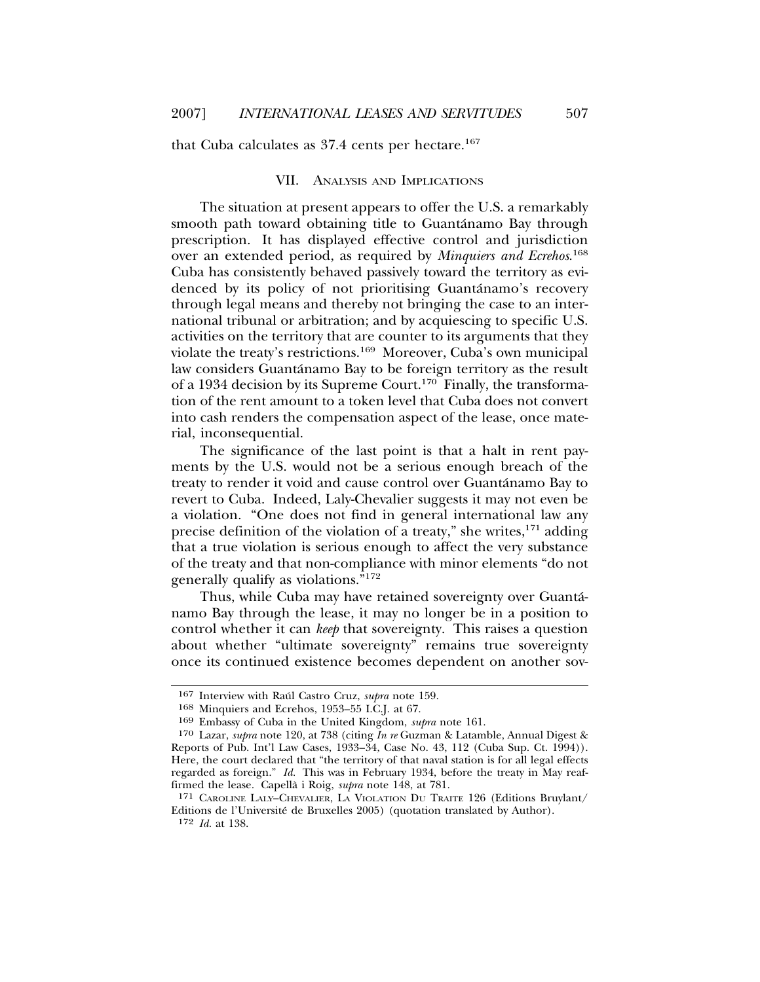that Cuba calculates as  $37.4$  cents per hectare.<sup>167</sup>

#### VII. ANALYSIS AND IMPLICATIONS

The situation at present appears to offer the U.S. a remarkably smooth path toward obtaining title to Guantánamo Bay through prescription. It has displayed effective control and jurisdiction over an extended period, as required by *Minquiers and Ecrehos*. 168 Cuba has consistently behaved passively toward the territory as evidenced by its policy of not prioritising Guantánamo's recovery through legal means and thereby not bringing the case to an international tribunal or arbitration; and by acquiescing to specific U.S. activities on the territory that are counter to its arguments that they violate the treaty's restrictions.169 Moreover, Cuba's own municipal law considers Guantánamo Bay to be foreign territory as the result of a 1934 decision by its Supreme Court.170 Finally, the transformation of the rent amount to a token level that Cuba does not convert into cash renders the compensation aspect of the lease, once material, inconsequential.

The significance of the last point is that a halt in rent payments by the U.S. would not be a serious enough breach of the treaty to render it void and cause control over Guantanamo Bay to ´ revert to Cuba. Indeed, Laly-Chevalier suggests it may not even be a violation. "One does not find in general international law any precise definition of the violation of a treaty," she writes,171 adding that a true violation is serious enough to affect the very substance of the treaty and that non-compliance with minor elements "do not generally qualify as violations."172

Thus, while Cuba may have retained sovereignty over Guanta-´ namo Bay through the lease, it may no longer be in a position to control whether it can *keep* that sovereignty. This raises a question about whether "ultimate sovereignty" remains true sovereignty once its continued existence becomes dependent on another sov-

<sup>167</sup> Interview with Raúl Castro Cruz, supra note 159.

<sup>168</sup> Minquiers and Ecrehos, 1953–55 I.C.J. at 67.

<sup>169</sup> Embassy of Cuba in the United Kingdom, *supra* note 161.

<sup>170</sup> Lazar, *supra* note 120, at 738 (citing *In re* Guzman & Latamble, Annual Digest & Reports of Pub. Int'l Law Cases, 1933–34, Case No. 43, 112 (Cuba Sup. Ct. 1994)). Here, the court declared that "the territory of that naval station is for all legal effects regarded as foreign." *Id.* This was in February 1934, before the treaty in May reaffirmed the lease. Capellà i Roig, *supra* note 148, at 781.

<sup>171</sup> CAROLINE LALY–CHEVALIER, LA VIOLATION DU TRAITE 126 (Editions Bruylant/ Editions de l'Université de Bruxelles 2005) (quotation translated by Author).  $172$  *Id.* at 138.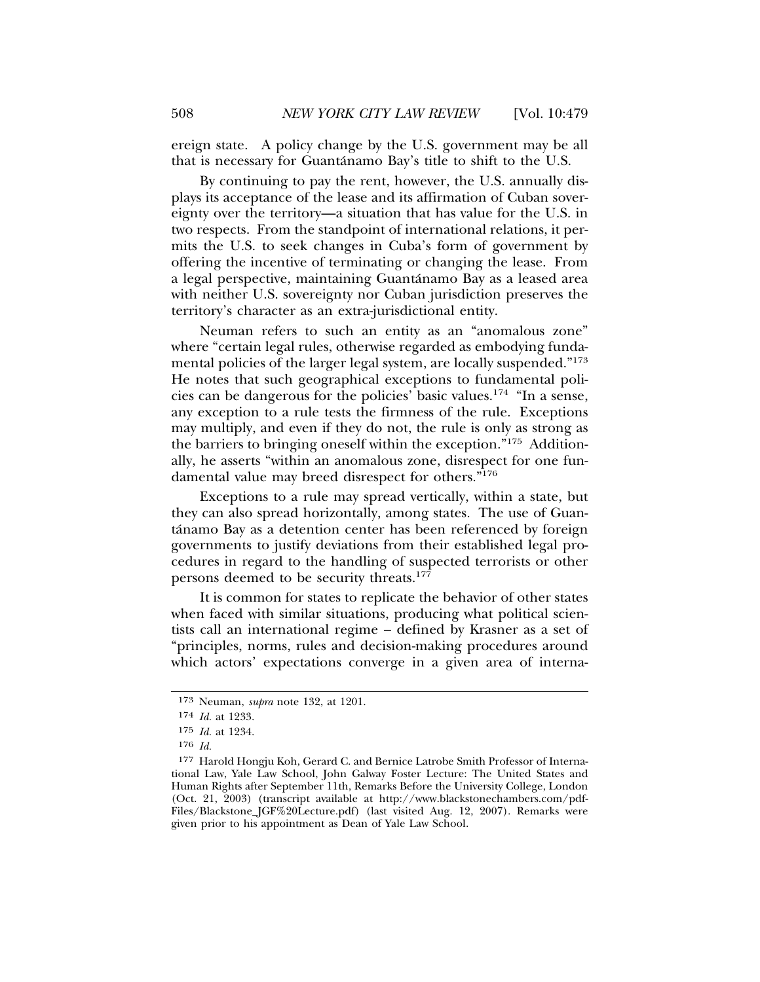ereign state. A policy change by the U.S. government may be all that is necessary for Guantanamo Bay's title to shift to the U.S. ´

By continuing to pay the rent, however, the U.S. annually displays its acceptance of the lease and its affirmation of Cuban sovereignty over the territory—a situation that has value for the U.S. in two respects. From the standpoint of international relations, it permits the U.S. to seek changes in Cuba's form of government by offering the incentive of terminating or changing the lease. From a legal perspective, maintaining Guantanamo Bay as a leased area ´ with neither U.S. sovereignty nor Cuban jurisdiction preserves the territory's character as an extra-jurisdictional entity.

Neuman refers to such an entity as an "anomalous zone" where "certain legal rules, otherwise regarded as embodying fundamental policies of the larger legal system, are locally suspended."<sup>173</sup> He notes that such geographical exceptions to fundamental policies can be dangerous for the policies' basic values.174 "In a sense, any exception to a rule tests the firmness of the rule. Exceptions may multiply, and even if they do not, the rule is only as strong as the barriers to bringing oneself within the exception."175 Additionally, he asserts "within an anomalous zone, disrespect for one fundamental value may breed disrespect for others."<sup>176</sup>

Exceptions to a rule may spread vertically, within a state, but they can also spread horizontally, among states. The use of Guantánamo Bay as a detention center has been referenced by foreign governments to justify deviations from their established legal procedures in regard to the handling of suspected terrorists or other persons deemed to be security threats.177

It is common for states to replicate the behavior of other states when faced with similar situations, producing what political scientists call an international regime – defined by Krasner as a set of "principles, norms, rules and decision-making procedures around which actors' expectations converge in a given area of interna-

<sup>173</sup> Neuman, *supra* note 132, at 1201.

<sup>174</sup> *Id.* at 1233.

<sup>175</sup> *Id.* at 1234.

<sup>176</sup> *Id.*

<sup>177</sup> Harold Hongju Koh, Gerard C. and Bernice Latrobe Smith Professor of International Law, Yale Law School, John Galway Foster Lecture: The United States and Human Rights after September 11th, Remarks Before the University College, London (Oct. 21, 2003) (transcript available at http://www.blackstonechambers.com/pdf-Files/Blackstone\_JGF%20Lecture.pdf) (last visited Aug. 12, 2007). Remarks were given prior to his appointment as Dean of Yale Law School.